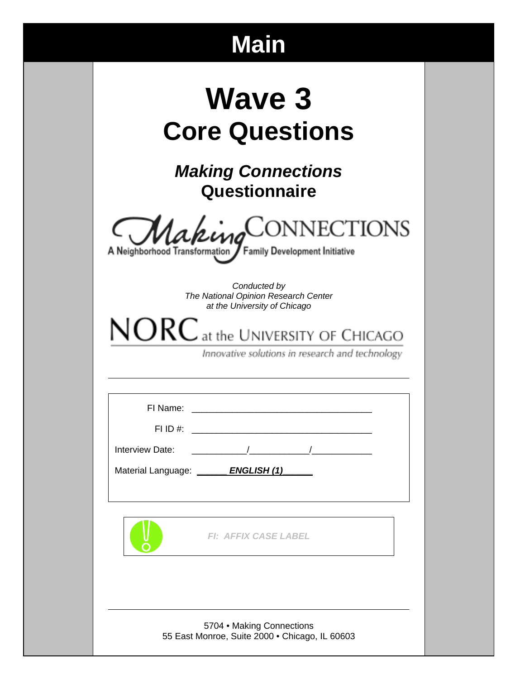# **Main**

| <b>Wave 3</b>         |
|-----------------------|
| <b>Core Questions</b> |

*Making Connections* **Questionnaire** 



Family Development Initiative A Neighborhood Transformation

> *Conducted by The National Opinion Research Center at the University of Chicago*

 $NORC$  at the UNIVERSITY OF CHICAGO

Innovative solutions in research and technology

| Material Language: <b>LAU LAU LAU ENGLISH (1)</b>                           |  |
|-----------------------------------------------------------------------------|--|
|                                                                             |  |
|                                                                             |  |
| <b>FI: AFFIX CASE LABEL</b>                                                 |  |
|                                                                             |  |
|                                                                             |  |
|                                                                             |  |
| 5704 • Making Connections<br>55 East Monroe, Suite 2000 · Chicago, IL 60603 |  |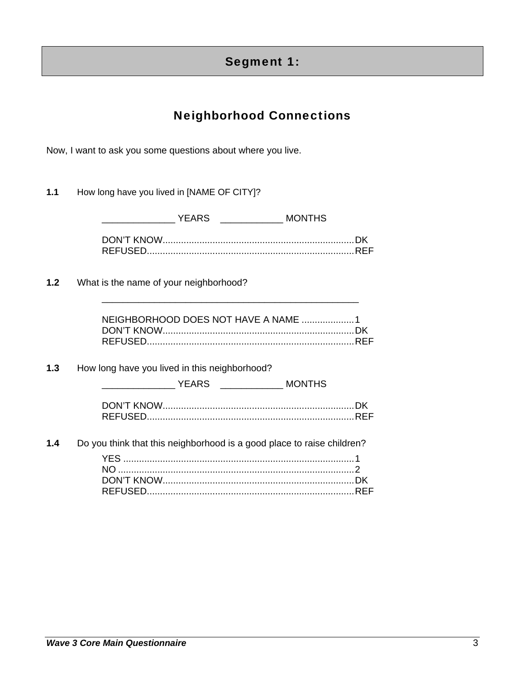# Segment 1:

# Neighborhood Connections

Now, I want to ask you some questions about where you live.

**1.1** How long have you lived in [NAME OF CITY]?

|     | YEARS _________________ MONTHS                                         |
|-----|------------------------------------------------------------------------|
|     |                                                                        |
| 1.2 | What is the name of your neighborhood?                                 |
|     | NEIGHBORHOOD DOES NOT HAVE A NAME 1                                    |
| 1.3 | How long have you lived in this neighborhood?                          |
|     |                                                                        |
| 1.4 | Do you think that this neighborhood is a good place to raise children? |

DON'T KNOW ......................................................................... DK REFUSED............................................................................... REF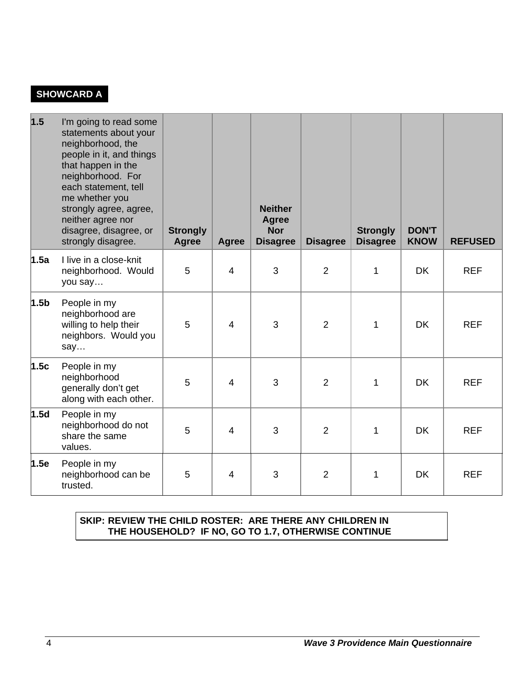# **SHOWCARD A**

| 1.5              | I'm going to read some<br>statements about your<br>neighborhood, the<br>people in it, and things<br>that happen in the<br>neighborhood. For<br>each statement, tell<br>me whether you<br>strongly agree, agree,<br>neither agree nor<br>disagree, disagree, or<br>strongly disagree. | <b>Strongly</b><br>Agree | <b>Agree</b>   | <b>Neither</b><br><b>Agree</b><br><b>Nor</b><br><b>Disagree</b> | <b>Disagree</b> | <b>Strongly</b><br><b>Disagree</b> | <b>DON'T</b><br><b>KNOW</b> | <b>REFUSED</b> |
|------------------|--------------------------------------------------------------------------------------------------------------------------------------------------------------------------------------------------------------------------------------------------------------------------------------|--------------------------|----------------|-----------------------------------------------------------------|-----------------|------------------------------------|-----------------------------|----------------|
| 1.5a             | I live in a close-knit<br>neighborhood. Would<br>you say                                                                                                                                                                                                                             | 5                        | $\overline{4}$ | 3                                                               | $\overline{2}$  | $\mathbf{1}$                       | <b>DK</b>                   | <b>REF</b>     |
| 1.5 <sub>b</sub> | People in my<br>neighborhood are<br>willing to help their<br>neighbors. Would you<br>say                                                                                                                                                                                             | 5                        | $\overline{4}$ | 3                                                               | $\overline{2}$  | 1                                  | <b>DK</b>                   | <b>REF</b>     |
| 1.5c             | People in my<br>neighborhood<br>generally don't get<br>along with each other.                                                                                                                                                                                                        | 5                        | 4              | 3                                                               | $\overline{2}$  | 1                                  | <b>DK</b>                   | <b>REF</b>     |
| 1.5d             | People in my<br>neighborhood do not<br>share the same<br>values.                                                                                                                                                                                                                     | 5                        | 4              | 3                                                               | $\overline{2}$  | 1                                  | <b>DK</b>                   | <b>REF</b>     |
| 1.5e             | People in my<br>neighborhood can be<br>trusted.                                                                                                                                                                                                                                      | 5                        | $\overline{4}$ | 3                                                               | 2               | 1                                  | <b>DK</b>                   | <b>REF</b>     |

#### **SKIP: REVIEW THE CHILD ROSTER: ARE THERE ANY CHILDREN IN THE HOUSEHOLD? IF NO, GO TO 1.7, OTHERWISE CONTINUE**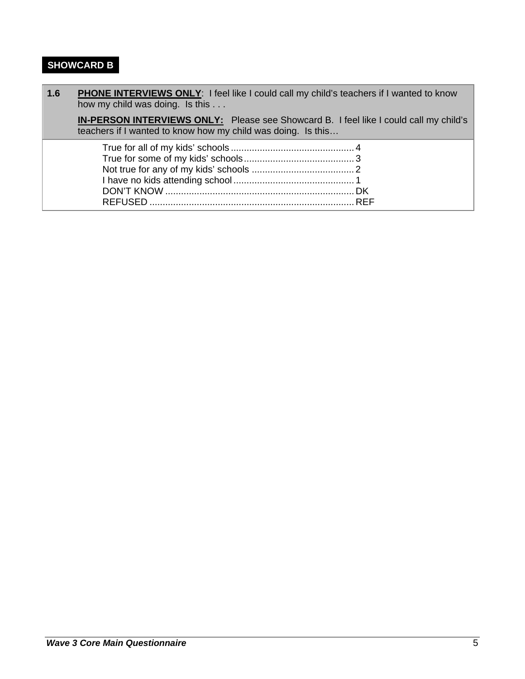# **SHOWCARD B**

| 1.6 | PHONE INTERVIEWS ONLY: I feel like I could call my child's teachers if I wanted to know<br>how my child was doing. Is this                            |
|-----|-------------------------------------------------------------------------------------------------------------------------------------------------------|
|     | IN-PERSON INTERVIEWS ONLY: Please see Showcard B. I feel like I could call my child's<br>teachers if I wanted to know how my child was doing. Is this |
|     |                                                                                                                                                       |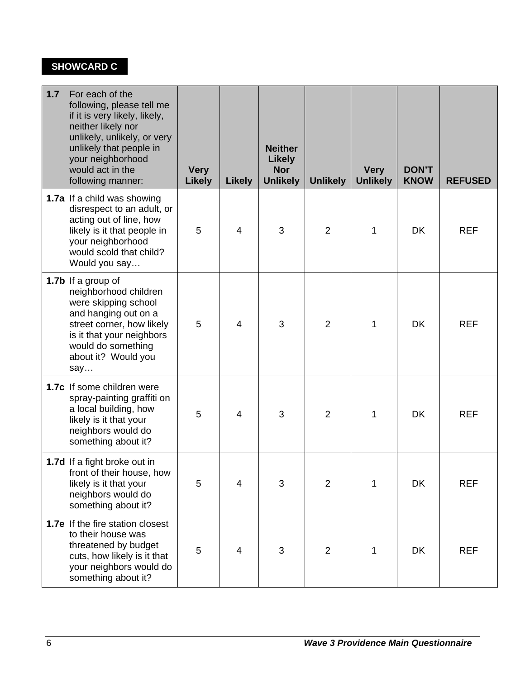# **SHOWCARD C**

| 1.7 | For each of the<br>following, please tell me<br>if it is very likely, likely,<br>neither likely nor<br>unlikely, unlikely, or very<br>unlikely that people in<br>your neighborhood<br>would act in the<br>following manner: | <b>Very</b><br><b>Likely</b> | <b>Likely</b>  | <b>Neither</b><br><b>Likely</b><br><b>Nor</b><br><b>Unlikely</b> | <b>Unlikely</b> | <b>Very</b><br><b>Unlikely</b> | <b>DON'T</b><br><b>KNOW</b> | <b>REFUSED</b> |
|-----|-----------------------------------------------------------------------------------------------------------------------------------------------------------------------------------------------------------------------------|------------------------------|----------------|------------------------------------------------------------------|-----------------|--------------------------------|-----------------------------|----------------|
|     | 1.7a If a child was showing<br>disrespect to an adult, or<br>acting out of line, how<br>likely is it that people in<br>your neighborhood<br>would scold that child?<br>Would you say                                        | 5                            | $\overline{4}$ | 3                                                                | $\overline{2}$  | 1                              | <b>DK</b>                   | <b>REF</b>     |
|     | 1.7b If a group of<br>neighborhood children<br>were skipping school<br>and hanging out on a<br>street corner, how likely<br>is it that your neighbors<br>would do something<br>about it? Would you<br>say                   | 5                            | $\overline{4}$ | 3                                                                | $\overline{2}$  | 1                              | <b>DK</b>                   | <b>REF</b>     |
|     | 1.7c If some children were<br>spray-painting graffiti on<br>a local building, how<br>likely is it that your<br>neighbors would do<br>something about it?                                                                    | 5                            | 4              | 3                                                                | $\overline{2}$  | 1                              | <b>DK</b>                   | <b>REF</b>     |
|     | 1.7d If a fight broke out in<br>front of their house, how<br>likely is it that your<br>neighbors would do<br>something about it?                                                                                            | 5                            | 4              | 3                                                                | $\overline{2}$  | 1                              | DK                          | <b>REF</b>     |
|     | 1.7e If the fire station closest<br>to their house was<br>threatened by budget<br>cuts, how likely is it that<br>your neighbors would do<br>something about it?                                                             | 5                            | 4              | 3                                                                | $\overline{2}$  | 1                              | <b>DK</b>                   | <b>REF</b>     |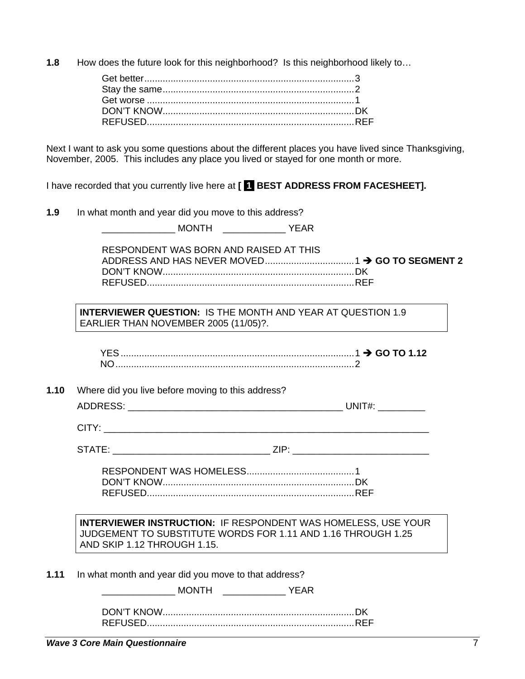**1.8** How does the future look for this neighborhood? Is this neighborhood likely to...

Next I want to ask you some questions about the different places you have lived since Thanksgiving, November, 2005. This includes any place you lived or stayed for one month or more.

I have recorded that you currently live here at **[ 1 BEST ADDRESS FROM FACESHEET].**

| 1.9  | In what month and year did you move to this address?                                                                                                                |
|------|---------------------------------------------------------------------------------------------------------------------------------------------------------------------|
|      |                                                                                                                                                                     |
|      | RESPONDENT WAS BORN AND RAISED AT THIS                                                                                                                              |
|      | <b>INTERVIEWER QUESTION: IS THE MONTH AND YEAR AT QUESTION 1.9</b><br>EARLIER THAN NOVEMBER 2005 (11/05)?.                                                          |
|      |                                                                                                                                                                     |
| 1.10 | Where did you live before moving to this address?                                                                                                                   |
|      |                                                                                                                                                                     |
|      |                                                                                                                                                                     |
|      | STATE: ___________________________________ZIP: _________________________________                                                                                    |
|      |                                                                                                                                                                     |
|      | <b>INTERVIEWER INSTRUCTION: IF RESPONDENT WAS HOMELESS, USE YOUR</b><br>JUDGEMENT TO SUBSTITUTE WORDS FOR 1.11 AND 1.16 THROUGH 1.25<br>AND SKIP 1.12 THROUGH 1.15. |
| 1.11 | In what month and year did you move to that address?                                                                                                                |
|      | <b>MONTH</b><br><b>YEAR</b>                                                                                                                                         |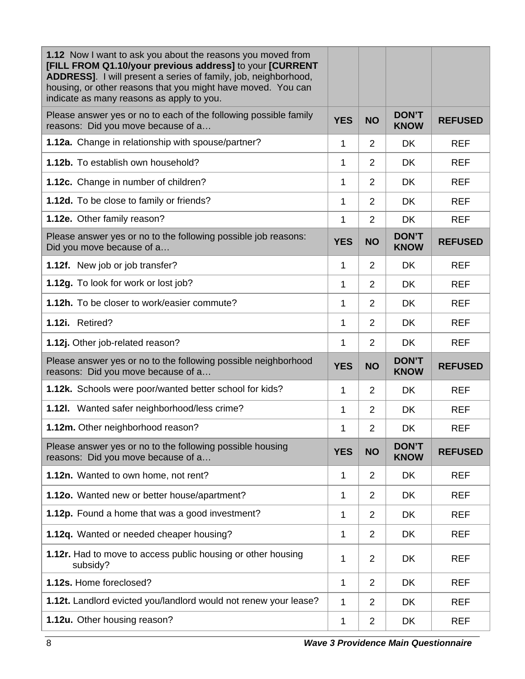| 1.12 Now I want to ask you about the reasons you moved from<br>[FILL FROM Q1.10/your previous address] to your [CURRENT<br>ADDRESS]. I will present a series of family, job, neighborhood,<br>housing, or other reasons that you might have moved. You can<br>indicate as many reasons as apply to you. |            |                |                             |                |
|---------------------------------------------------------------------------------------------------------------------------------------------------------------------------------------------------------------------------------------------------------------------------------------------------------|------------|----------------|-----------------------------|----------------|
| Please answer yes or no to each of the following possible family<br>reasons: Did you move because of a                                                                                                                                                                                                  | <b>YES</b> | <b>NO</b>      | <b>DON'T</b><br><b>KNOW</b> | <b>REFUSED</b> |
| 1.12a. Change in relationship with spouse/partner?                                                                                                                                                                                                                                                      | 1          | 2              | <b>DK</b>                   | <b>REF</b>     |
| 1.12b. To establish own household?                                                                                                                                                                                                                                                                      | 1          | 2              | <b>DK</b>                   | <b>REF</b>     |
| 1.12c. Change in number of children?                                                                                                                                                                                                                                                                    | 1          | 2              | <b>DK</b>                   | <b>REF</b>     |
| 1.12d. To be close to family or friends?                                                                                                                                                                                                                                                                | 1          | $\overline{2}$ | <b>DK</b>                   | <b>REF</b>     |
| 1.12e. Other family reason?                                                                                                                                                                                                                                                                             | 1          | $\overline{2}$ | <b>DK</b>                   | <b>REF</b>     |
| Please answer yes or no to the following possible job reasons:<br>Did you move because of a                                                                                                                                                                                                             | <b>YES</b> | <b>NO</b>      | <b>DON'T</b><br><b>KNOW</b> | <b>REFUSED</b> |
| 1.12f. New job or job transfer?                                                                                                                                                                                                                                                                         | 1          | 2              | <b>DK</b>                   | <b>REF</b>     |
| 1.12g. To look for work or lost job?                                                                                                                                                                                                                                                                    | 1          | $\overline{2}$ | <b>DK</b>                   | <b>REF</b>     |
| 1.12h. To be closer to work/easier commute?                                                                                                                                                                                                                                                             | 1          | 2              | <b>DK</b>                   | <b>REF</b>     |
| 1.12i. Retired?                                                                                                                                                                                                                                                                                         | 1          | 2              | <b>DK</b>                   | <b>REF</b>     |
| 1.12j. Other job-related reason?                                                                                                                                                                                                                                                                        | 1          | 2              | <b>DK</b>                   | <b>REF</b>     |
| Please answer yes or no to the following possible neighborhood<br>reasons: Did you move because of a                                                                                                                                                                                                    | <b>YES</b> | <b>NO</b>      | <b>DON'T</b><br><b>KNOW</b> | <b>REFUSED</b> |
| 1.12k. Schools were poor/wanted better school for kids?                                                                                                                                                                                                                                                 | 1          | 2              | DK.                         | <b>REF</b>     |
| 1.12I. Wanted safer neighborhood/less crime?                                                                                                                                                                                                                                                            | 1          | 2              | <b>DK</b>                   | <b>REF</b>     |
| 1.12m. Other neighborhood reason?                                                                                                                                                                                                                                                                       | 1          | $\overline{2}$ | DK                          | <b>REF</b>     |
| Please answer yes or no to the following possible housing<br>reasons: Did you move because of a                                                                                                                                                                                                         | <b>YES</b> | <b>NO</b>      | <b>DON'T</b><br><b>KNOW</b> | <b>REFUSED</b> |
| 1.12n. Wanted to own home, not rent?                                                                                                                                                                                                                                                                    | 1          | 2              | DK                          | <b>REF</b>     |
| 1.12o. Wanted new or better house/apartment?                                                                                                                                                                                                                                                            | 1          | 2              | DK                          | <b>REF</b>     |
| 1.12p. Found a home that was a good investment?                                                                                                                                                                                                                                                         | 1          | $\overline{2}$ | <b>DK</b>                   | <b>REF</b>     |
| 1.12q. Wanted or needed cheaper housing?                                                                                                                                                                                                                                                                | 1          | $\overline{2}$ | DK                          | <b>REF</b>     |
| 1.12r. Had to move to access public housing or other housing<br>subsidy?                                                                                                                                                                                                                                | 1          | $\overline{2}$ | <b>DK</b>                   | <b>REF</b>     |
| 1.12s. Home foreclosed?                                                                                                                                                                                                                                                                                 | 1          | $\overline{2}$ | DK                          | <b>REF</b>     |
| 1.12t. Landlord evicted you/landlord would not renew your lease?                                                                                                                                                                                                                                        | 1          | $\overline{2}$ | DK                          | <b>REF</b>     |
| 1.12u. Other housing reason?                                                                                                                                                                                                                                                                            | 1          | $\overline{2}$ | DK                          | <b>REF</b>     |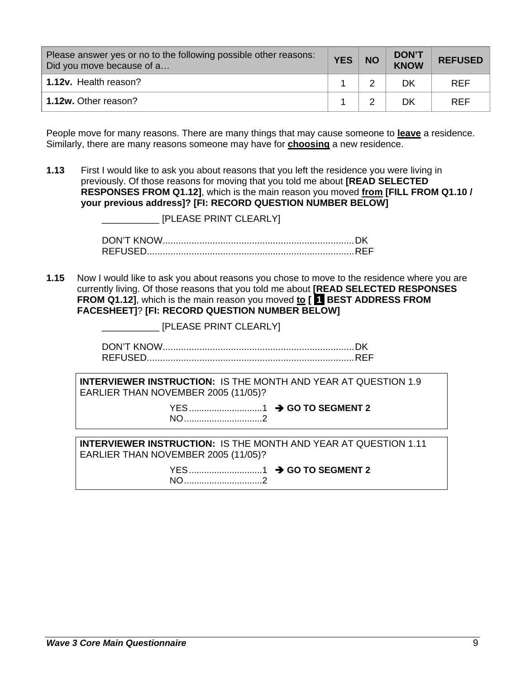| Please answer yes or no to the following possible other reasons:<br>Did you move because of a | <b>YES</b> | <b>NO</b> | <b>DON'T</b><br>KNOW | <b>REFUSED</b> |
|-----------------------------------------------------------------------------------------------|------------|-----------|----------------------|----------------|
| 1.12v. Health reason?                                                                         |            |           | DK                   | <b>RFF</b>     |
| 1.12w. Other reason?                                                                          |            |           | DK                   | <b>REF</b>     |

People move for many reasons. There are many things that may cause someone to **leave** a residence. Similarly, there are many reasons someone may have for **choosing** a new residence.

**1.13** First I would like to ask you about reasons that you left the residence you were living in previously. Of those reasons for moving that you told me about **[READ SELECTED RESPONSES FROM Q1.12]**, which is the main reason you moved **from [FILL FROM Q1.10 / your previous address]? [FI: RECORD QUESTION NUMBER BELOW]**

|      | [PLEASE PRINT CLEARLY]                                                                                                                                                                                                                                                                                              |
|------|---------------------------------------------------------------------------------------------------------------------------------------------------------------------------------------------------------------------------------------------------------------------------------------------------------------------|
|      |                                                                                                                                                                                                                                                                                                                     |
| 1.15 | Now I would like to ask you about reasons you chose to move to the residence where you are<br>currently living. Of those reasons that you told me about [READ SELECTED RESPONSES<br>FROM Q1.12], which is the main reason you moved to [ BEST ADDRESS FROM<br><b>FACESHEET]? [FI: RECORD QUESTION NUMBER BELOW]</b> |
|      | [PLEASE PRINT CLEARLY]                                                                                                                                                                                                                                                                                              |
|      |                                                                                                                                                                                                                                                                                                                     |
|      | <b>INTERVIEWER INSTRUCTION: IS THE MONTH AND YEAR AT QUESTION 1.9</b><br>EARLIER THAN NOVEMBER 2005 (11/05)?                                                                                                                                                                                                        |
|      | NO2                                                                                                                                                                                                                                                                                                                 |
|      | <b>INTERVIEWER INSTRUCTION: IS THE MONTH AND YEAR AT QUESTION 1.11</b><br>EARLIER THAN NOVEMBER 2005 (11/05)?                                                                                                                                                                                                       |
|      | NO2                                                                                                                                                                                                                                                                                                                 |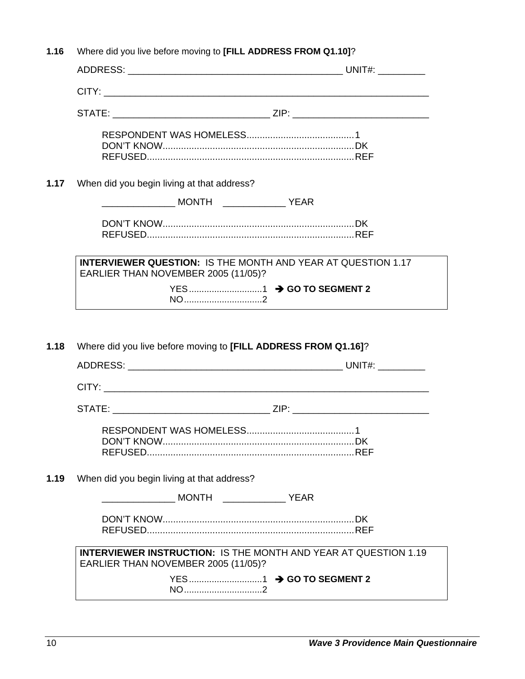| 1.16 | Where did you live before moving to [FILL ADDRESS FROM Q1.10]?                                                |  |
|------|---------------------------------------------------------------------------------------------------------------|--|
|      |                                                                                                               |  |
|      |                                                                                                               |  |
|      |                                                                                                               |  |
|      |                                                                                                               |  |
| 1.17 | When did you begin living at that address?                                                                    |  |
|      |                                                                                                               |  |
|      |                                                                                                               |  |
|      | <b>INTERVIEWER QUESTION: IS THE MONTH AND YEAR AT QUESTION 1.17</b><br>EARLIER THAN NOVEMBER 2005 (11/05)?    |  |
|      |                                                                                                               |  |
| 1.18 | NO2<br>Where did you live before moving to [FILL ADDRESS FROM Q1.16]?                                         |  |
|      |                                                                                                               |  |
|      |                                                                                                               |  |
|      |                                                                                                               |  |
|      |                                                                                                               |  |
| 1.19 | When did you begin living at that address?                                                                    |  |
|      |                                                                                                               |  |
|      |                                                                                                               |  |
|      | <b>INTERVIEWER INSTRUCTION: IS THE MONTH AND YEAR AT QUESTION 1.19</b><br>EARLIER THAN NOVEMBER 2005 (11/05)? |  |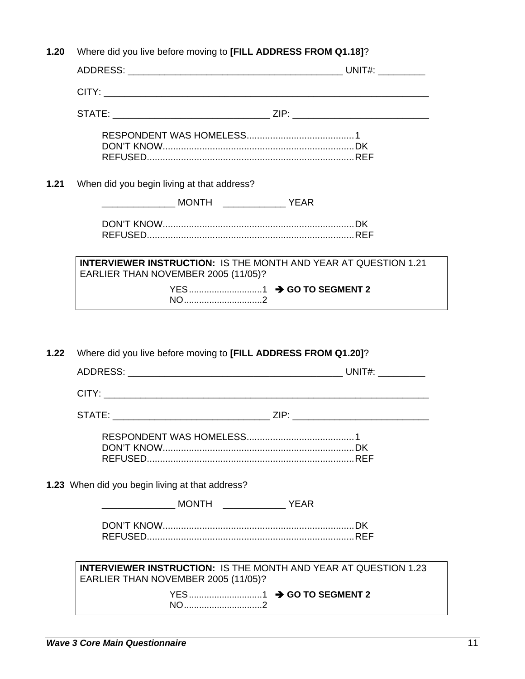| 1.20 |                                                                        |                                                                        |
|------|------------------------------------------------------------------------|------------------------------------------------------------------------|
|      |                                                                        |                                                                        |
|      |                                                                        |                                                                        |
|      |                                                                        |                                                                        |
|      |                                                                        |                                                                        |
| 1.21 | When did you begin living at that address?                             |                                                                        |
|      |                                                                        |                                                                        |
|      |                                                                        |                                                                        |
|      | EARLIER THAN NOVEMBER 2005 (11/05)?                                    | <b>INTERVIEWER INSTRUCTION: IS THE MONTH AND YEAR AT QUESTION 1.21</b> |
|      |                                                                        |                                                                        |
| 1.22 | NO 2<br>Where did you live before moving to [FILL ADDRESS FROM Q1.20]? |                                                                        |
|      |                                                                        |                                                                        |
|      |                                                                        |                                                                        |
|      |                                                                        |                                                                        |
|      |                                                                        |                                                                        |
|      | 1.23 When did you begin living at that address?                        |                                                                        |
|      |                                                                        |                                                                        |
|      |                                                                        |                                                                        |
|      | EARLIER THAN NOVEMBER 2005 (11/05)?                                    | <b>INTERVIEWER INSTRUCTION: IS THE MONTH AND YEAR AT QUESTION 1.23</b> |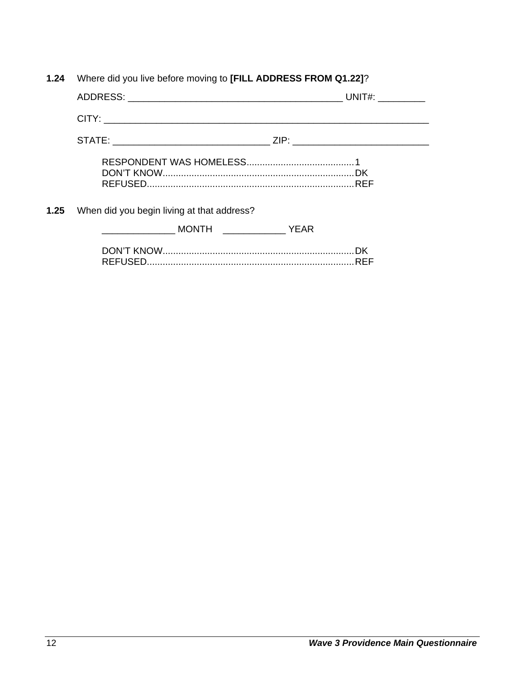|  | 1.24 Where did you live before moving to [FILL ADDRESS FROM Q1.22]? |  |
|--|---------------------------------------------------------------------|--|
|  |                                                                     |  |

| STATE: ___________________________________ZIP: _________________________________ |             |
|----------------------------------------------------------------------------------|-------------|
|                                                                                  |             |
| <b>1.25</b> When did you begin living at that address?                           |             |
| MONTH TEARNEY                                                                    |             |
|                                                                                  | .DK<br>.REF |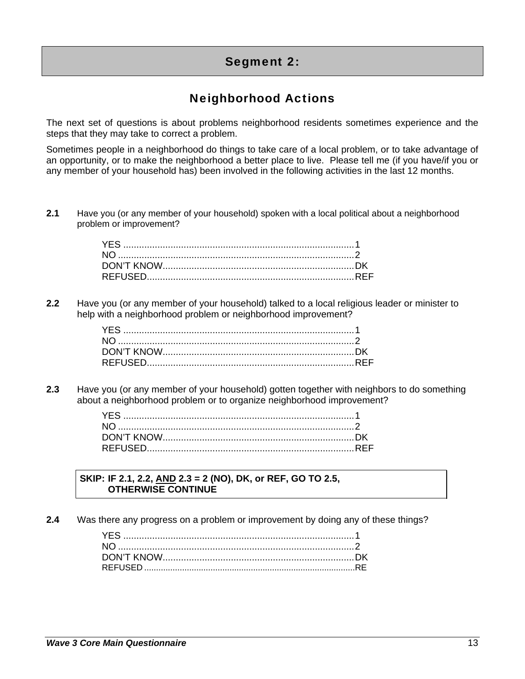# Segment 2:

# Neighborhood Actions

The next set of questions is about problems neighborhood residents sometimes experience and the steps that they may take to correct a problem.

Sometimes people in a neighborhood do things to take care of a local problem, or to take advantage of an opportunity, or to make the neighborhood a better place to live. Please tell me (if you have/if you or any member of your household has) been involved in the following activities in the last 12 months.

**2.1** Have you (or any member of your household) spoken with a local political about a neighborhood problem or improvement?

**2.2** Have you (or any member of your household) talked to a local religious leader or minister to help with a neighborhood problem or neighborhood improvement?

**2.3** Have you (or any member of your household) gotten together with neighbors to do something about a neighborhood problem or to organize neighborhood improvement?

#### **SKIP: IF 2.1, 2.2, AND 2.3 = 2 (NO), DK, or REF, GO TO 2.5, OTHERWISE CONTINUE**

**2.4** Was there any progress on a problem or improvement by doing any of these things?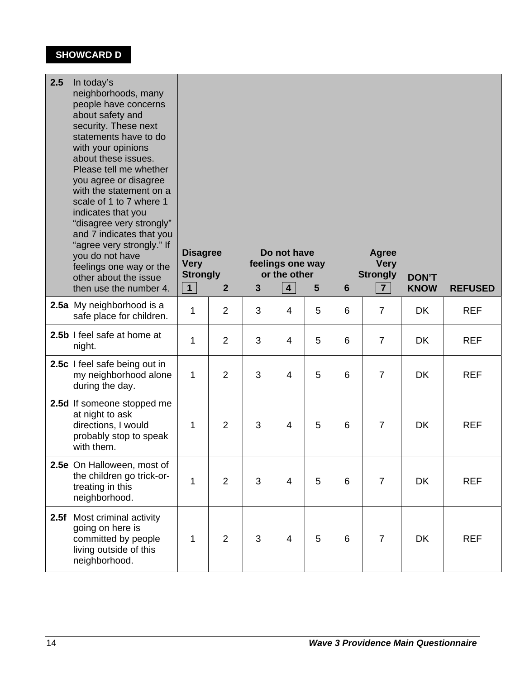# **SHOWCARD D**

| 2.5  | In today's<br>neighborhoods, many<br>people have concerns<br>about safety and<br>security. These next<br>statements have to do<br>with your opinions<br>about these issues.<br>Please tell me whether<br>you agree or disagree<br>with the statement on a<br>scale of 1 to 7 where 1<br>indicates that you<br>"disagree very strongly"<br>and 7 indicates that you<br>"agree very strongly." If<br>you do not have<br>feelings one way or the<br>other about the issue<br>then use the number 4. | <b>Disagree</b><br><b>Very</b><br><b>Strongly</b><br>1<br>$\overline{2}$ |                | Do not have<br>feelings one way<br>or the other<br>4 <sup>1</sup><br>$\mathbf{3}$<br>$5\phantom{1}$ |                |   | 6 | Agree<br><b>Very</b><br><b>Strongly</b><br>7 <sup>1</sup> | <b>DON'T</b><br><b>KNOW</b> | <b>REFUSED</b> |
|------|--------------------------------------------------------------------------------------------------------------------------------------------------------------------------------------------------------------------------------------------------------------------------------------------------------------------------------------------------------------------------------------------------------------------------------------------------------------------------------------------------|--------------------------------------------------------------------------|----------------|-----------------------------------------------------------------------------------------------------|----------------|---|---|-----------------------------------------------------------|-----------------------------|----------------|
|      | 2.5a My neighborhood is a<br>safe place for children.                                                                                                                                                                                                                                                                                                                                                                                                                                            |                                                                          | $\overline{2}$ | 3                                                                                                   | 4              | 5 | 6 | $\overline{7}$                                            | <b>DK</b>                   | <b>REF</b>     |
|      | 2.5b I feel safe at home at<br>night.                                                                                                                                                                                                                                                                                                                                                                                                                                                            | 1                                                                        | $\overline{2}$ | 3                                                                                                   | 4              | 5 | 6 | $\overline{7}$                                            | <b>DK</b>                   | <b>REF</b>     |
|      | 2.5c I feel safe being out in<br>my neighborhood alone<br>during the day.                                                                                                                                                                                                                                                                                                                                                                                                                        | 1                                                                        | 2              | 3                                                                                                   | $\overline{4}$ | 5 | 6 | $\overline{7}$                                            | <b>DK</b>                   | <b>REF</b>     |
|      | 2.5d If someone stopped me<br>at night to ask<br>directions, I would<br>probably stop to speak<br>with them.                                                                                                                                                                                                                                                                                                                                                                                     | 1                                                                        | $\overline{2}$ | 3                                                                                                   | $\overline{4}$ | 5 | 6 | $\overline{7}$                                            | <b>DK</b>                   | <b>REF</b>     |
|      | 2.5e On Halloween, most of<br>the children go trick-or-<br>treating in this<br>neighborhood.                                                                                                                                                                                                                                                                                                                                                                                                     | 1                                                                        | $\overline{2}$ | 3                                                                                                   | 4              | 5 | 6 | $\overline{7}$                                            | DK                          | <b>REF</b>     |
| 2.5f | Most criminal activity<br>going on here is<br>committed by people<br>living outside of this<br>neighborhood.                                                                                                                                                                                                                                                                                                                                                                                     | 1                                                                        | $\overline{2}$ | 3                                                                                                   | 4              | 5 | 6 | $\overline{7}$                                            | DK                          | <b>REF</b>     |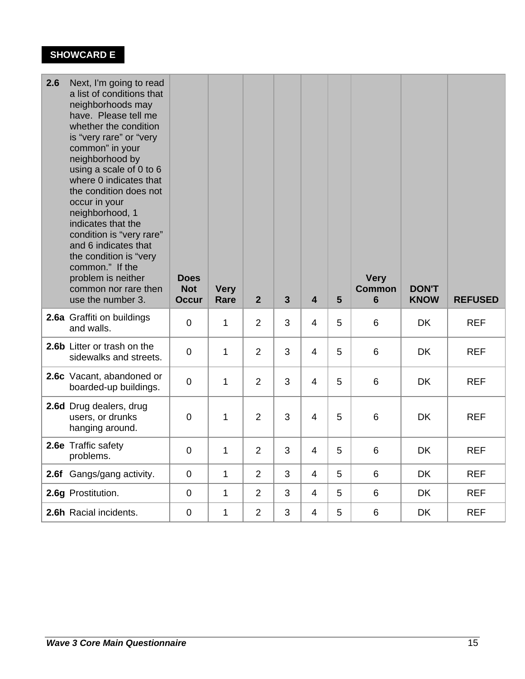# **SHOWCARD E**

| 2.6 | Next, I'm going to read<br>a list of conditions that<br>neighborhoods may<br>have. Please tell me<br>whether the condition<br>is "very rare" or "very<br>common" in your<br>neighborhood by<br>using a scale of 0 to 6<br>where 0 indicates that<br>the condition does not<br>occur in your<br>neighborhood, 1<br>indicates that the<br>condition is "very rare"<br>and 6 indicates that<br>the condition is "very<br>common." If the<br>problem is neither<br>common nor rare then<br>use the number 3. | <b>Does</b><br><b>Not</b><br><b>Occur</b> | <b>Very</b><br>Rare | 2 <sup>2</sup> | $\overline{\mathbf{3}}$ | $\overline{\mathbf{4}}$ | 5 | <b>Very</b><br><b>Common</b><br>$6\phantom{1}$ | <b>DON'T</b><br><b>KNOW</b> | <b>REFUSED</b> |
|-----|----------------------------------------------------------------------------------------------------------------------------------------------------------------------------------------------------------------------------------------------------------------------------------------------------------------------------------------------------------------------------------------------------------------------------------------------------------------------------------------------------------|-------------------------------------------|---------------------|----------------|-------------------------|-------------------------|---|------------------------------------------------|-----------------------------|----------------|
|     | 2.6a Graffiti on buildings<br>and walls.                                                                                                                                                                                                                                                                                                                                                                                                                                                                 | $\mathbf 0$                               | $\mathbf{1}$        | 2              | 3                       | $\overline{4}$          | 5 | 6                                              | <b>DK</b>                   | <b>REF</b>     |
|     | 2.6b Litter or trash on the<br>sidewalks and streets.                                                                                                                                                                                                                                                                                                                                                                                                                                                    | $\overline{0}$                            | $\mathbf{1}$        | $\overline{2}$ | 3                       | 4                       | 5 | 6                                              | <b>DK</b>                   | <b>REF</b>     |
|     | 2.6c Vacant, abandoned or<br>boarded-up buildings.                                                                                                                                                                                                                                                                                                                                                                                                                                                       | $\overline{0}$                            | $\mathbf{1}$        | $\overline{2}$ | 3                       | $\overline{4}$          | 5 | 6                                              | DK                          | <b>REF</b>     |
|     | 2.6d Drug dealers, drug<br>users, or drunks<br>hanging around.                                                                                                                                                                                                                                                                                                                                                                                                                                           | $\overline{0}$                            | $\mathbf{1}$        | $\overline{2}$ | 3                       | $\overline{4}$          | 5 | 6                                              | <b>DK</b>                   | <b>REF</b>     |
|     | 2.6e Traffic safety<br>problems.                                                                                                                                                                                                                                                                                                                                                                                                                                                                         | $\mathbf 0$                               | $\mathbf{1}$        | $\overline{2}$ | 3                       | $\overline{4}$          | 5 | 6                                              | <b>DK</b>                   | <b>REF</b>     |
|     | 2.6f Gangs/gang activity.                                                                                                                                                                                                                                                                                                                                                                                                                                                                                | $\overline{0}$                            | $\mathbf{1}$        | $\overline{2}$ | 3                       | $\overline{4}$          | 5 | 6                                              | <b>DK</b>                   | <b>REF</b>     |
|     | 2.6g Prostitution.                                                                                                                                                                                                                                                                                                                                                                                                                                                                                       | $\overline{0}$                            | $\mathbf{1}$        | $\overline{2}$ | 3                       | $\overline{4}$          | 5 | 6                                              | <b>DK</b>                   | <b>REF</b>     |
|     | 2.6h Racial incidents.                                                                                                                                                                                                                                                                                                                                                                                                                                                                                   | $\overline{0}$                            | 1                   | $\overline{2}$ | 3                       | $\overline{4}$          | 5 | $\,6$                                          | <b>DK</b>                   | <b>REF</b>     |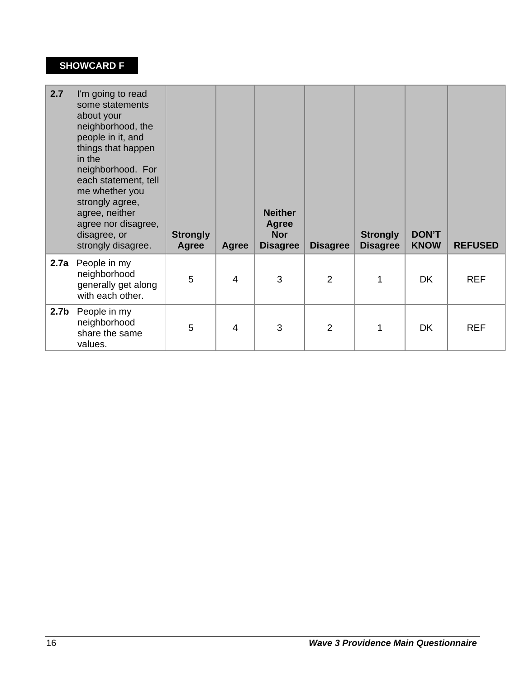# **SHOWCARD F**

| 2.7              | I'm going to read<br>some statements<br>about your<br>neighborhood, the<br>people in it, and<br>things that happen<br>in the<br>neighborhood. For<br>each statement, tell<br>me whether you<br>strongly agree,<br>agree, neither<br>agree nor disagree,<br>disagree, or<br>strongly disagree. | <b>Strongly</b><br>Agree | <b>Agree</b>   | <b>Neither</b><br>Agree<br><b>Nor</b><br><b>Disagree</b> | <b>Disagree</b> | <b>Strongly</b><br><b>Disagree</b> | <b>DON'T</b><br><b>KNOW</b> | <b>REFUSED</b> |
|------------------|-----------------------------------------------------------------------------------------------------------------------------------------------------------------------------------------------------------------------------------------------------------------------------------------------|--------------------------|----------------|----------------------------------------------------------|-----------------|------------------------------------|-----------------------------|----------------|
| 2.7a             | People in my<br>neighborhood<br>generally get along<br>with each other.                                                                                                                                                                                                                       | 5                        | $\overline{4}$ | 3                                                        | $\overline{2}$  | 1                                  | <b>DK</b>                   | <b>REF</b>     |
| 2.7 <sub>b</sub> | People in my<br>neighborhood<br>share the same<br>values.                                                                                                                                                                                                                                     | 5                        | $\overline{4}$ | 3                                                        | $\overline{2}$  | 1                                  | <b>DK</b>                   | <b>REF</b>     |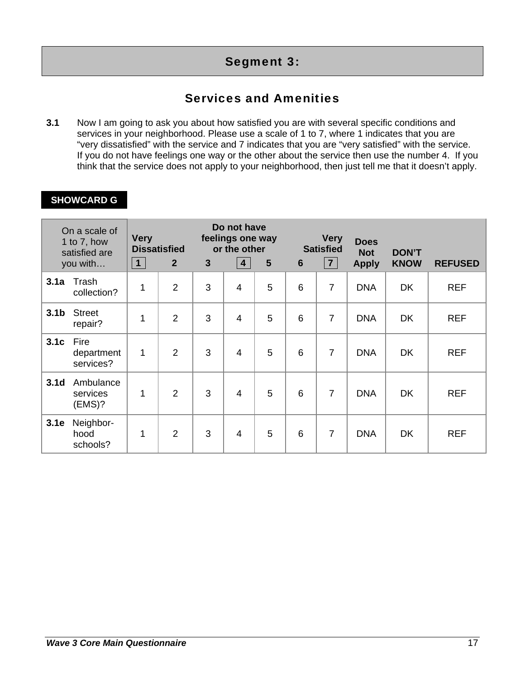# Segment 3:

# Services and Amenities

**3.1** Now I am going to ask you about how satisfied you are with several specific conditions and services in your neighborhood. Please use a scale of 1 to 7, where 1 indicates that you are "very dissatisfied" with the service and 7 indicates that you are "very satisfied" with the service. If you do not have feelings one way or the other about the service then use the number 4. If you think that the service does not apply to your neighborhood, then just tell me that it doesn't apply.

# **SHOWCARD G**

| On a scale of<br>1 to $7$ , how<br>satisfied are<br>you with |                                 | <b>Very</b><br>$\vert$ 1 $\vert$ | <b>Dissatisfied</b><br>$\overline{2}$ | $\mathbf{3}$ | Do not have<br>feelings one way<br>or the other<br>4 | 5 | $6\phantom{1}6$ | <b>Very</b><br><b>Satisfied</b><br>7 | <b>Does</b><br><b>Not</b><br><b>Apply</b> | <b>DON'T</b><br><b>KNOW</b> | <b>REFUSED</b> |
|--------------------------------------------------------------|---------------------------------|----------------------------------|---------------------------------------|--------------|------------------------------------------------------|---|-----------------|--------------------------------------|-------------------------------------------|-----------------------------|----------------|
| 3.1a                                                         | Trash<br>collection?            | 1                                | $\overline{2}$                        | 3            | $\overline{4}$                                       | 5 | 6               | $\overline{7}$                       | <b>DNA</b>                                | DK                          | <b>REF</b>     |
| 3.1 <sub>b</sub>                                             | <b>Street</b><br>repair?        | 1                                | $\overline{2}$                        | 3            | $\overline{4}$                                       | 5 | 6               | $\overline{7}$                       | <b>DNA</b>                                | <b>DK</b>                   | <b>REF</b>     |
| 3.1c                                                         | Fire<br>department<br>services? | 1                                | $\overline{2}$                        | 3            | $\overline{4}$                                       | 5 | 6               | $\overline{7}$                       | <b>DNA</b>                                | <b>DK</b>                   | <b>REF</b>     |
| 3.1 <sub>d</sub>                                             | Ambulance<br>services<br>(EMS)? | 1                                | $\overline{2}$                        | 3            | $\overline{4}$                                       | 5 | 6               | $\overline{7}$                       | <b>DNA</b>                                | DK                          | <b>REF</b>     |
| 3.1e                                                         | Neighbor-<br>hood<br>schools?   | 1                                | $\overline{2}$                        | 3            | $\overline{4}$                                       | 5 | 6               | $\overline{7}$                       | <b>DNA</b>                                | <b>DK</b>                   | <b>REF</b>     |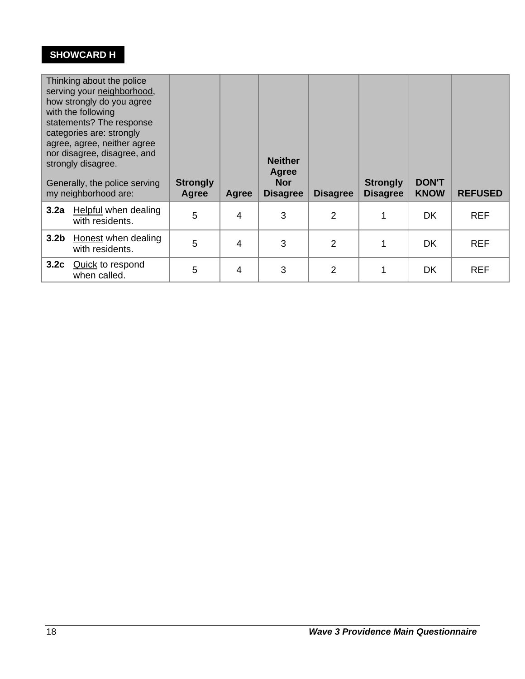# **SHOWCARD H**

| Thinking about the police<br>serving your neighborhood,<br>how strongly do you agree<br>with the following<br>statements? The response<br>categories are: strongly<br>agree, agree, neither agree<br>nor disagree, disagree, and<br>strongly disagree.<br>Generally, the police serving<br>my neighborhood are: |                                         | <b>Strongly</b><br>Agree | Agree          | <b>Neither</b><br><b>Agree</b><br><b>Nor</b><br><b>Disagree</b> | <b>Disagree</b> | <b>Strongly</b><br><b>Disagree</b> | <b>DON'T</b><br><b>KNOW</b> | <b>REFUSED</b> |
|-----------------------------------------------------------------------------------------------------------------------------------------------------------------------------------------------------------------------------------------------------------------------------------------------------------------|-----------------------------------------|--------------------------|----------------|-----------------------------------------------------------------|-----------------|------------------------------------|-----------------------------|----------------|
| 3.2a                                                                                                                                                                                                                                                                                                            | Helpful when dealing<br>with residents. | 5                        | 4              | 3                                                               | $\overline{2}$  | 1                                  | <b>DK</b>                   | <b>REF</b>     |
| 3.2 <sub>b</sub>                                                                                                                                                                                                                                                                                                | Honest when dealing<br>with residents.  | 5                        | 4              | 3                                                               | $\overline{2}$  | 1                                  | <b>DK</b>                   | <b>REF</b>     |
| 3.2c                                                                                                                                                                                                                                                                                                            | <b>Quick to respond</b><br>when called. | 5                        | $\overline{4}$ | 3                                                               | $\overline{2}$  | 1                                  | <b>DK</b>                   | <b>REF</b>     |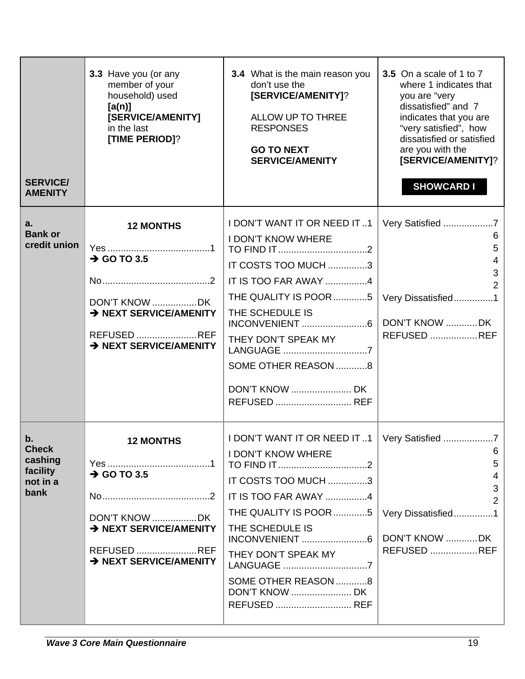| <b>SERVICE/</b><br><b>AMENITY</b>                             | 3.3 Have you (or any<br>member of your<br>household) used<br>[a(n)]<br>[SERVICE/AMENITY]<br>in the last<br>[TIME PERIOD]?       | <b>3.4</b> What is the main reason you<br>don't use the<br>[SERVICE/AMENITY]?<br>ALLOW UP TO THREE<br><b>RESPONSES</b><br><b>GO TO NEXT</b><br><b>SERVICE/AMENITY</b>                                                                                 | 3.5 On a scale of 1 to 7<br>where 1 indicates that<br>you are "very<br>dissatisfied" and 7<br>indicates that you are<br>"very satisfied", how<br>dissatisfied or satisfied<br>are you with the<br>[SERVICE/AMENITY]?<br><b>SHOWCARD I</b> |
|---------------------------------------------------------------|---------------------------------------------------------------------------------------------------------------------------------|-------------------------------------------------------------------------------------------------------------------------------------------------------------------------------------------------------------------------------------------------------|-------------------------------------------------------------------------------------------------------------------------------------------------------------------------------------------------------------------------------------------|
| a.<br><b>Bank or</b><br>credit union                          | <b>12 MONTHS</b><br>$\rightarrow$ GO TO 3.5<br>DON'T KNOW DK<br>> NEXT SERVICE/AMENITY<br>REFUSED REF<br>> NEXT SERVICE/AMENITY | I DON'T WANT IT OR NEED IT1<br><b>I DON'T KNOW WHERE</b><br>IT COSTS TOO MUCH 3<br>IT IS TOO FAR AWAY 4<br>THE QUALITY IS POOR 5   Very Dissatisfied 1<br>THE SCHEDULE IS<br>THEY DON'T SPEAK MY<br>LANGUAGE 7<br>SOME OTHER REASON 8<br>REFUSED  REF | Very Satisfied 7<br>6<br>5<br>4<br>$\mathbf{3}$<br>2<br>DON'T KNOW DK<br><b>REFUSED REF</b>                                                                                                                                               |
| b.<br><b>Check</b><br>cashing<br>facility<br>not in a<br>bank | <b>12 MONTHS</b><br>$\rightarrow$ GO TO 3.5<br>DON'T KNOW DK<br>> NEXT SERVICE/AMENITY<br>REFUSED REF<br>> NEXT SERVICE/AMENITY | I DON'T WANT IT OR NEED IT 1   Very Satisfied<br><b>I DON'T KNOW WHERE</b><br>IT COSTS TOO MUCH 3<br>IT IS TOO FAR AWAY 4<br>THE QUALITY IS POOR 5<br>THE SCHEDULE IS<br>THEY DON'T SPEAK MY<br>LANGUAGE 7<br>SOME OTHER REASON 8<br>REFUSED  REF     | 6<br>5<br>4<br>3<br>2<br>Very Dissatisfied1<br>DON'T KNOW DK<br><b>REFUSED REF</b>                                                                                                                                                        |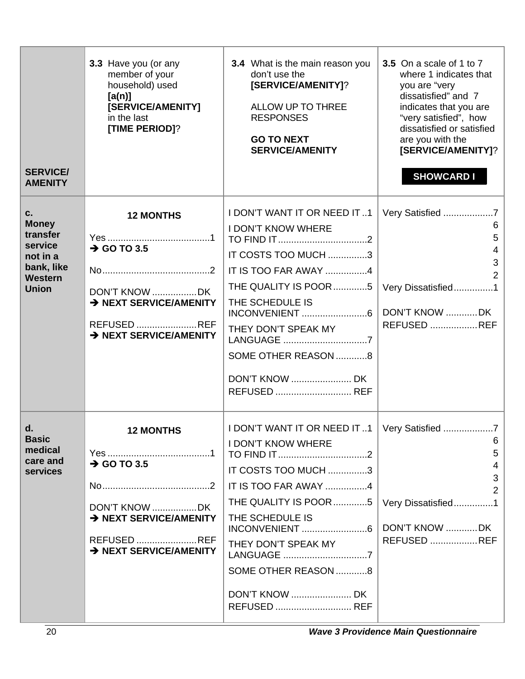| <b>SERVICE/</b><br><b>AMENITY</b>                                                                     | 3.3 Have you (or any<br>member of your<br>household) used<br>[a(n)]<br>[SERVICE/AMENITY]<br>in the last<br>[TIME PERIOD]?       | <b>3.4</b> What is the main reason you<br>don't use the<br>[SERVICE/AMENITY]?<br>ALLOW UP TO THREE<br><b>RESPONSES</b><br><b>GO TO NEXT</b><br><b>SERVICE/AMENITY</b>                                                                             | 3.5 On a scale of 1 to 7<br>where 1 indicates that<br>you are "very<br>dissatisfied" and 7<br>indicates that you are<br>"very satisfied", how<br>dissatisfied or satisfied<br>are you with the<br>[SERVICE/AMENITY]?<br><b>SHOWCARD I</b> |
|-------------------------------------------------------------------------------------------------------|---------------------------------------------------------------------------------------------------------------------------------|---------------------------------------------------------------------------------------------------------------------------------------------------------------------------------------------------------------------------------------------------|-------------------------------------------------------------------------------------------------------------------------------------------------------------------------------------------------------------------------------------------|
| C.<br><b>Money</b><br>transfer<br>service<br>not in a<br>bank, like<br><b>Western</b><br><b>Union</b> | <b>12 MONTHS</b><br>$\rightarrow$ GO TO 3.5<br>DON'T KNOW DK<br>> NEXT SERVICE/AMENITY<br>REFUSED REF<br>> NEXT SERVICE/AMENITY | I DON'T WANT IT OR NEED IT1<br><b>I DON'T KNOW WHERE</b><br>IT COSTS TOO MUCH 3<br>IT IS TOO FAR AWAY 4<br>THE QUALITY IS POOR 5<br>THE SCHEDULE IS<br>THEY DON'T SPEAK MY<br>LANGUAGE 7<br>SOME OTHER REASON 8<br>REFUSED  REF                   | Very Satisfied 7<br>6<br>5<br>4<br>3<br>2<br>Very Dissatisfied1<br>DON'T KNOW DK<br><b>REFUSED REF</b>                                                                                                                                    |
| d.<br><b>Basic</b><br>medical<br>care and<br><b>services</b>                                          | <b>12 MONTHS</b><br>$\rightarrow$ GO TO 3.5<br>DON'T KNOW DK<br>> NEXT SERVICE/AMENITY<br>REFUSED REF<br>> NEXT SERVICE/AMENITY | I DON'T WANT IT OR NEED IT 1   Very Satisfied<br><b>I DON'T KNOW WHERE</b><br>IT COSTS TOO MUCH 3<br>IT IS TOO FAR AWAY 4<br>THE QUALITY IS POOR 5<br>THE SCHEDULE IS<br>THEY DON'T SPEAK MY<br>LANGUAGE 7<br>SOME OTHER REASON 8<br>REFUSED  REF | 6<br>5<br>4<br>3<br>Very Dissatisfied1<br>DON'T KNOW DK<br><b>REFUSED REF</b>                                                                                                                                                             |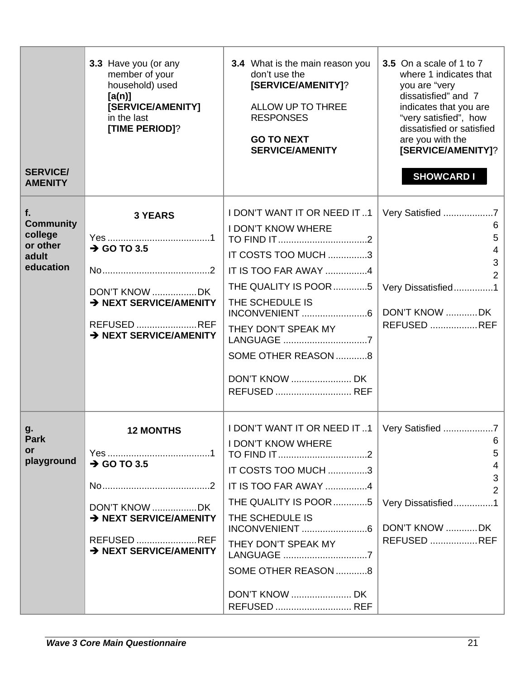| <b>SERVICE/</b><br><b>AMENITY</b>                                   | 3.3 Have you (or any<br>member of your<br>household) used<br>[a(n)]<br>[SERVICE/AMENITY]<br>in the last<br>[TIME PERIOD]?       | 3.4 What is the main reason you<br>don't use the<br>[SERVICE/AMENITY]?<br>ALLOW UP TO THREE<br><b>RESPONSES</b><br><b>GO TO NEXT</b><br><b>SERVICE/AMENITY</b>                                                                                        | 3.5 On a scale of 1 to 7<br>where 1 indicates that<br>you are "very<br>dissatisfied" and 7<br>indicates that you are<br>"very satisfied", how<br>dissatisfied or satisfied<br>are you with the<br>[SERVICE/AMENITY]?<br><b>SHOWCARD I</b> |
|---------------------------------------------------------------------|---------------------------------------------------------------------------------------------------------------------------------|-------------------------------------------------------------------------------------------------------------------------------------------------------------------------------------------------------------------------------------------------------|-------------------------------------------------------------------------------------------------------------------------------------------------------------------------------------------------------------------------------------------|
| f.<br><b>Community</b><br>college<br>or other<br>adult<br>education | <b>3 YEARS</b><br>$\rightarrow$ GO TO 3.5<br>DON'T KNOW DK<br>> NEXT SERVICE/AMENITY<br>REFUSED REF<br>> NEXT SERVICE/AMENITY   | I DON'T WANT IT OR NEED IT1<br><b>I DON'T KNOW WHERE</b><br>IT COSTS TOO MUCH 3<br>IT IS TOO FAR AWAY 4<br>THE QUALITY IS POOR 5   Very Dissatisfied 1<br>THE SCHEDULE IS<br>THEY DON'T SPEAK MY<br>LANGUAGE 7<br>SOME OTHER REASON 8<br>REFUSED  REF | Very Satisfied<br>6<br>5<br>3<br>DON'T KNOW DK<br><b>REFUSED REF</b>                                                                                                                                                                      |
| g.<br><b>Park</b><br><b>or</b><br>playground                        | <b>12 MONTHS</b><br>$\rightarrow$ GO TO 3.5<br>DON'T KNOW DK<br>> NEXT SERVICE/AMENITY<br>REFUSED REF<br>> NEXT SERVICE/AMENITY | I DON'T WANT IT OR NEED IT 1   Very Satisfied<br><b>I DON'T KNOW WHERE</b><br>IT COSTS TOO MUCH 3<br>IT IS TOO FAR AWAY 4<br>THE QUALITY IS POOR 5<br>THE SCHEDULE IS<br>THEY DON'T SPEAK MY<br>LANGUAGE 7<br>SOME OTHER REASON 8<br>REFUSED  REF     | 6<br>5<br>4<br>3<br>Very Dissatisfied1<br>DON'T KNOW DK<br><b>REFUSED REF</b>                                                                                                                                                             |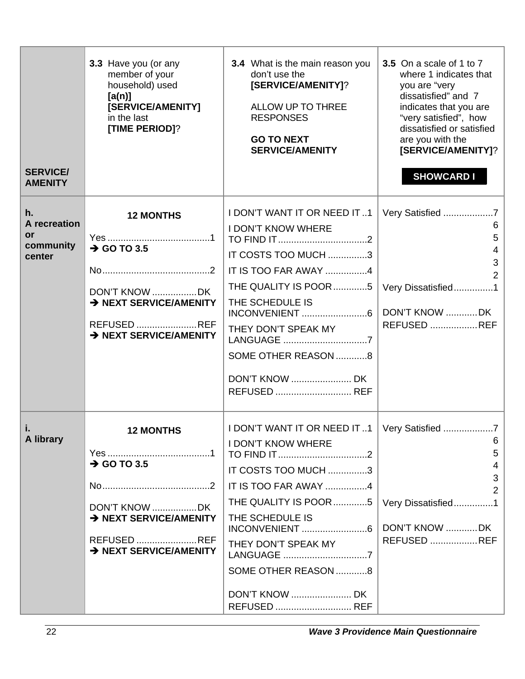| <b>SERVICE/</b><br><b>AMENITY</b>                      | 3.3 Have you (or any<br>member of your<br>household) used<br>[a(n)]<br>[SERVICE/AMENITY]<br>in the last<br>[TIME PERIOD]?       | 3.4 What is the main reason you<br>don't use the<br>[SERVICE/AMENITY]?<br>ALLOW UP TO THREE<br><b>RESPONSES</b><br><b>GO TO NEXT</b><br><b>SERVICE/AMENITY</b>                                                                                    | 3.5 On a scale of 1 to 7<br>where 1 indicates that<br>you are "very<br>dissatisfied" and 7<br>indicates that you are<br>"very satisfied", how<br>dissatisfied or satisfied<br>are you with the<br>[SERVICE/AMENITY]?<br><b>SHOWCARD I</b> |
|--------------------------------------------------------|---------------------------------------------------------------------------------------------------------------------------------|---------------------------------------------------------------------------------------------------------------------------------------------------------------------------------------------------------------------------------------------------|-------------------------------------------------------------------------------------------------------------------------------------------------------------------------------------------------------------------------------------------|
| h.<br>A recreation<br><b>or</b><br>community<br>center | <b>12 MONTHS</b><br>$\rightarrow$ GO TO 3.5<br>DON'T KNOW DK<br>> NEXT SERVICE/AMENITY<br>REFUSED REF<br>> NEXT SERVICE/AMENITY | I DON'T WANT IT OR NEED IT1<br><b>I DON'T KNOW WHERE</b><br>IT COSTS TOO MUCH 3<br>IT IS TOO FAR AWAY 4<br>THE QUALITY IS POOR 5<br>THE SCHEDULE IS<br>THEY DON'T SPEAK MY<br>LANGUAGE 7<br>SOME OTHER REASON 8<br>REFUSED  REF                   | Very Satisfied<br>6<br>5<br>4<br>3<br>$\mathcal{P}$<br>Very Dissatisfied1<br>DON'T KNOW DK<br><b>REFUSED REF</b>                                                                                                                          |
| j.<br>A library                                        | <b>12 MONTHS</b><br>$\rightarrow$ GO TO 3.5<br>DON'T KNOW DK<br>> NEXT SERVICE/AMENITY<br>REFUSED REF<br>> NEXT SERVICE/AMENITY | I DON'T WANT IT OR NEED IT 1   Very Satisfied<br><b>I DON'T KNOW WHERE</b><br>IT COSTS TOO MUCH 3<br>IT IS TOO FAR AWAY 4<br>THE QUALITY IS POOR 5<br>THE SCHEDULE IS<br>THEY DON'T SPEAK MY<br>LANGUAGE 7<br>SOME OTHER REASON 8<br>REFUSED  REF | 6<br>5<br>4<br>3<br>2<br>Very Dissatisfied1<br>DON'T KNOW DK<br><b>REFUSED REF</b>                                                                                                                                                        |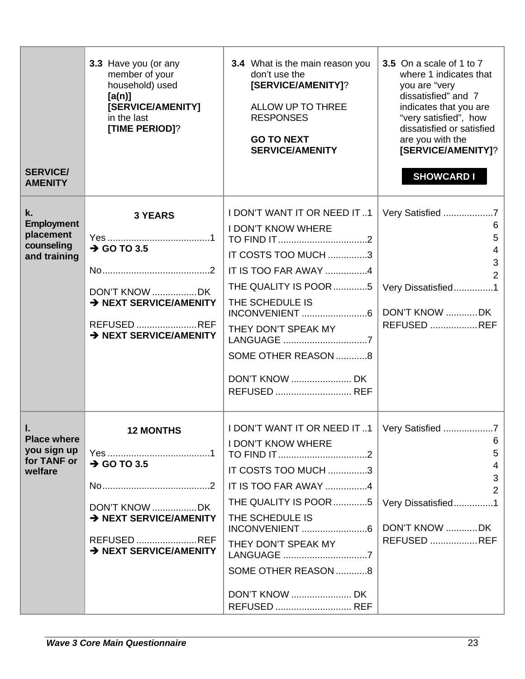| <b>SERVICE/</b><br><b>AMENITY</b>                                  | 3.3 Have you (or any<br>member of your<br>household) used<br>[a(n)]<br>[SERVICE/AMENITY]<br>in the last<br>[TIME PERIOD]?       | 3.4 What is the main reason you<br>don't use the<br>[SERVICE/AMENITY]?<br>ALLOW UP TO THREE<br><b>RESPONSES</b><br><b>GO TO NEXT</b><br><b>SERVICE/AMENITY</b>                                                                                        | 3.5 On a scale of 1 to 7<br>where 1 indicates that<br>you are "very<br>dissatisfied" and 7<br>indicates that you are<br>"very satisfied", how<br>dissatisfied or satisfied<br>are you with the<br>[SERVICE/AMENITY]?<br><b>SHOWCARD I</b> |
|--------------------------------------------------------------------|---------------------------------------------------------------------------------------------------------------------------------|-------------------------------------------------------------------------------------------------------------------------------------------------------------------------------------------------------------------------------------------------------|-------------------------------------------------------------------------------------------------------------------------------------------------------------------------------------------------------------------------------------------|
| k.<br><b>Employment</b><br>placement<br>counseling<br>and training | <b>3 YEARS</b><br>$\rightarrow$ GO TO 3.5<br>DON'T KNOW DK<br>> NEXT SERVICE/AMENITY<br>REFUSED REF<br>> NEXT SERVICE/AMENITY   | I DON'T WANT IT OR NEED IT1<br><b>I DON'T KNOW WHERE</b><br>IT COSTS TOO MUCH 3<br>IT IS TOO FAR AWAY 4<br>THE QUALITY IS POOR 5   Very Dissatisfied 1<br>THE SCHEDULE IS<br>THEY DON'T SPEAK MY<br>LANGUAGE 7<br>SOME OTHER REASON 8<br>REFUSED  REF | Very Satisfied<br>6<br>5<br>3<br>DON'T KNOW DK<br><b>REFUSED REF</b>                                                                                                                                                                      |
| Ι.<br><b>Place where</b><br>you sign up<br>for TANF or<br>welfare  | <b>12 MONTHS</b><br>$\rightarrow$ GO TO 3.5<br>DON'T KNOW DK<br>> NEXT SERVICE/AMENITY<br>REFUSED REF<br>> NEXT SERVICE/AMENITY | I DON'T WANT IT OR NEED IT 1   Very Satisfied<br><b>I DON'T KNOW WHERE</b><br>IT COSTS TOO MUCH 3<br>IT IS TOO FAR AWAY 4<br>THE QUALITY IS POOR 5<br>THE SCHEDULE IS<br>THEY DON'T SPEAK MY<br>LANGUAGE 7<br>SOME OTHER REASON 8<br>REFUSED  REF     | 6<br>5<br>4<br>3<br>Very Dissatisfied1<br>DON'T KNOW DK<br><b>REFUSED REF</b>                                                                                                                                                             |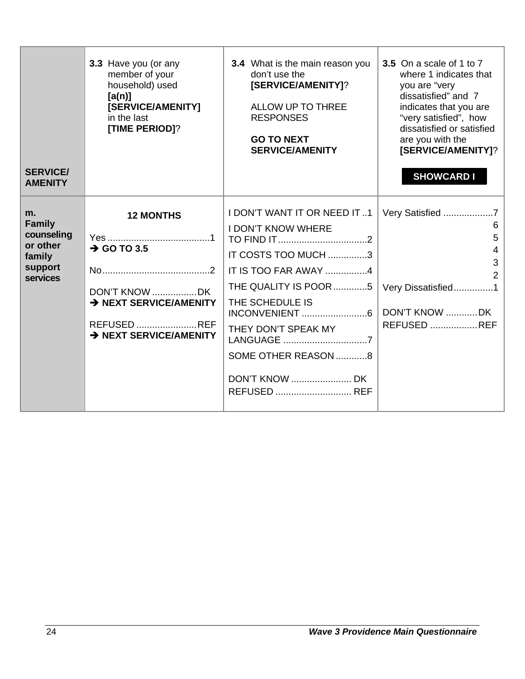| <b>SERVICE/</b><br><b>AMENITY</b>                                              | 3.3 Have you (or any<br>member of your<br>household) used<br>[a(n)]<br>[SERVICE/AMENITY]<br>in the last<br>[TIME PERIOD]?       | <b>3.4</b> What is the main reason you<br>don't use the<br>[SERVICE/AMENITY]?<br>ALLOW UP TO THREE<br><b>RESPONSES</b><br><b>GO TO NEXT</b><br><b>SERVICE/AMENITY</b>                                                    | 3.5 On a scale of 1 to 7<br>where 1 indicates that<br>you are "very<br>dissatisfied" and 7<br>indicates that you are<br>"very satisfied", how<br>dissatisfied or satisfied<br>are you with the<br>[SERVICE/AMENITY]?<br><b>SHOWCARD I</b> |
|--------------------------------------------------------------------------------|---------------------------------------------------------------------------------------------------------------------------------|--------------------------------------------------------------------------------------------------------------------------------------------------------------------------------------------------------------------------|-------------------------------------------------------------------------------------------------------------------------------------------------------------------------------------------------------------------------------------------|
| m.<br><b>Family</b><br>counseling<br>or other<br>family<br>support<br>services | <b>12 MONTHS</b><br>$\rightarrow$ GO TO 3.5<br>DON'T KNOW DK<br>> NEXT SERVICE/AMENITY<br>REFUSED REF<br>> NEXT SERVICE/AMENITY | <b>I DON'T WANT IT OR NEED IT1</b><br><b>I DON'T KNOW WHERE</b><br>IT COSTS TOO MUCH 3<br>IT IS TOO FAR AWAY 4<br>THE QUALITY IS POOR 5<br>THE SCHEDULE IS<br>THEY DON'T SPEAK MY<br>SOME OTHER REASON 8<br>REFUSED  REF | Very Satisfied<br>6<br>5<br>4<br>3<br>Very Dissatisfied1<br>DON'T KNOW DK<br><b>REFUSED  REF</b>                                                                                                                                          |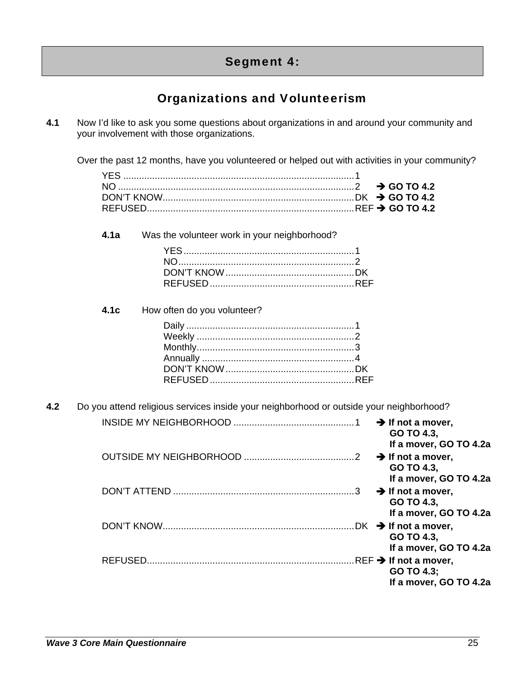# Segment 4:

# Organizations and Volunteerism

**4.1** Now I'd like to ask you some questions about organizations in and around your community and your involvement with those organizations.

Over the past 12 months, have you volunteered or helped out with activities in your community?

**4.1a** Was the volunteer work in your neighborhood?

**4.1c** How often do you volunteer?

**4.2** Do you attend religious services inside your neighborhood or outside your neighborhood?

| $\rightarrow$ If not a mover,<br>GO TO 4.3,<br>If a mover, GO TO 4.2a                  |
|----------------------------------------------------------------------------------------|
| $\rightarrow$ If not a mover,<br>GO TO 4.3,<br>If a mover, GO TO 4.2a                  |
| $\mathcal{R}$<br>$\rightarrow$ If not a mover,<br>GO TO 4.3,<br>If a mover, GO TO 4.2a |
| GO TO 4.3,<br>If a mover, GO TO 4.2a                                                   |
| GO TO 4.3;<br>If a mover, GO TO 4.2a                                                   |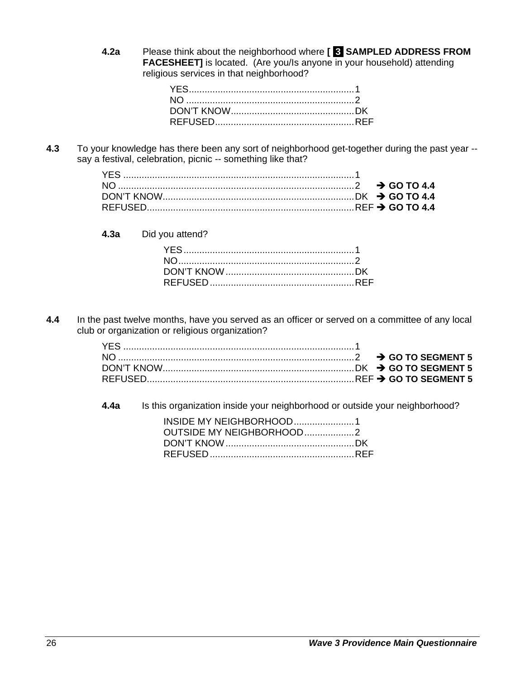**4.2a** Please think about the neighborhood where **[ 3 SAMPLED ADDRESS FROM FACESHEET]** is located. (Are you/Is anyone in your household) attending religious services in that neighborhood?

**4.3** To your knowledge has there been any sort of neighborhood get-together during the past year - say a festival, celebration, picnic -- something like that?

**4.3a** Did you attend?

**4.4** In the past twelve months, have you served as an officer or served on a committee of any local club or organization or religious organization?

**4.4a** Is this organization inside your neighborhood or outside your neighborhood?

| INSIDE MY NEIGHBORHOOD1  |  |
|--------------------------|--|
| OUTSIDE MY NEIGHBORHOOD2 |  |
|                          |  |
|                          |  |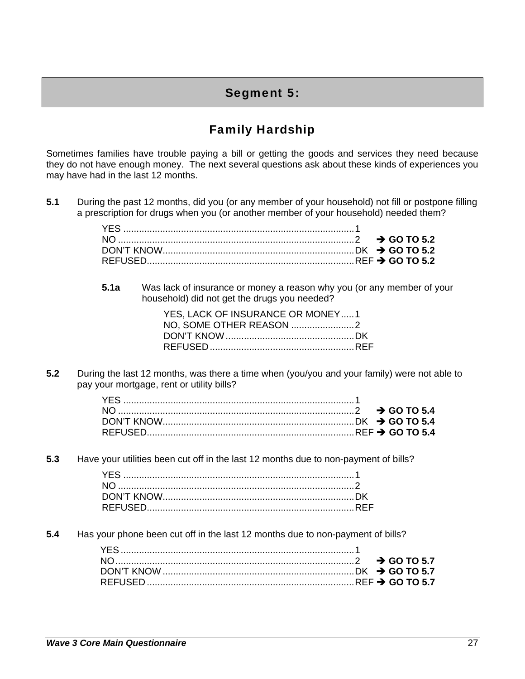# Segment 5:

# Family Hardship

Sometimes families have trouble paying a bill or getting the goods and services they need because they do not have enough money. The next several questions ask about these kinds of experiences you may have had in the last 12 months.

**5.1** During the past 12 months, did you (or any member of your household) not fill or postpone filling a prescription for drugs when you (or another member of your household) needed them?

**5.1a** Was lack of insurance or money a reason why you (or any member of your household) did not get the drugs you needed?

| YES. LACK OF INSURANCE OR MONEY1 |  |
|----------------------------------|--|
|                                  |  |
|                                  |  |
|                                  |  |

**5.2** During the last 12 months, was there a time when (you/you and your family) were not able to pay your mortgage, rent or utility bills?

**5.3** Have your utilities been cut off in the last 12 months due to non-payment of bills?

**5.4** Has your phone been cut off in the last 12 months due to non-payment of bills?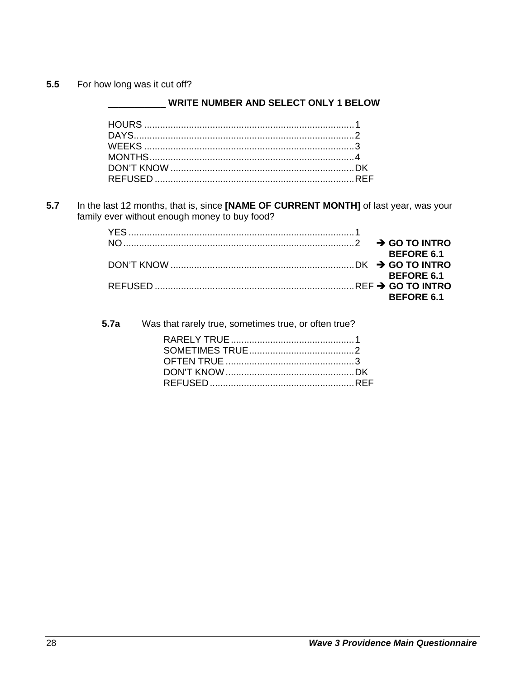For how long was it cut off?  $5.5$ 

#### **WRITE NUMBER AND SELECT ONLY 1 BELOW**

In the last 12 months, that is, since [NAME OF CURRENT MONTH] of last year, was your  $5.7$ family ever without enough money to buy food?

|  | <b>BEFORE 6.1</b> |
|--|-------------------|
|  |                   |
|  | <b>BEFORE 6.1</b> |
|  |                   |
|  | <b>BEFORE 6.1</b> |

| 5.7a Was that rarely true, sometimes true, or often true? |  |
|-----------------------------------------------------------|--|
|                                                           |  |
|                                                           |  |
|                                                           |  |
|                                                           |  |
|                                                           |  |
|                                                           |  |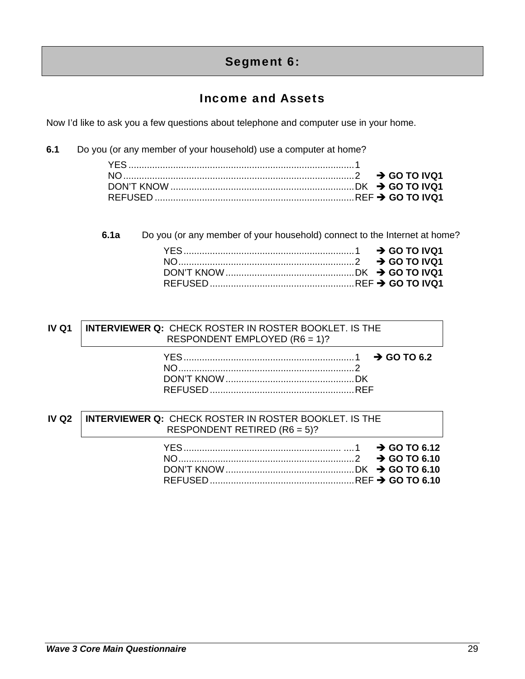# Segment 6:

# Income and Assets

Now I'd like to ask you a few questions about telephone and computer use in your home.

**6.1** Do you (or any member of your household) use a computer at home?

**6.1a** Do you (or any member of your household) connect to the Internet at home?

#### **IV Q1 INTERVIEWER Q:**CHECK ROSTER IN ROSTER BOOKLET. IS THE RESPONDENT EMPLOYED (R6 = 1)?

### **IV Q2 INTERVIEWER Q:**CHECK ROSTER IN ROSTER BOOKLET. IS THE RESPONDENT RETIRED (R6 = 5)?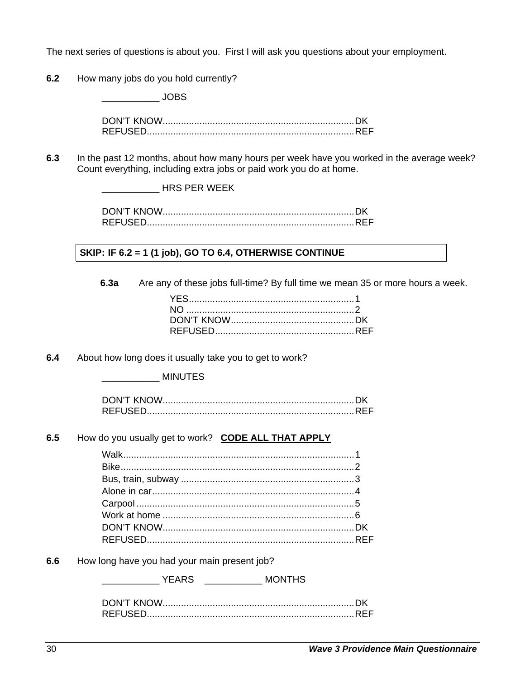The next series of questions is about you. First I will ask you questions about your employment.

**6.2** How many jobs do you hold currently?

 $\overline{\phantom{a}}$  JOBS

DON'T KNOW ......................................................................... DK REFUSED............................................................................... REF

**6.3** In the past 12 months, about how many hours per week have you worked in the average week? Count everything, including extra jobs or paid work you do at home.

\_\_\_\_\_\_\_\_\_\_\_ HRS PER WEEK

DON'T KNOW ......................................................................... DK REFUSED............................................................................... REF

#### **SKIP: IF 6.2 = 1 (1 job), GO TO 6.4, OTHERWISE CONTINUE**

**6.3a** Are any of these jobs full-time? By full time we mean 35 or more hours a week.

**6.4** About how long does it usually take you to get to work?

\_\_\_\_\_\_\_\_\_\_\_ MINUTES

**6.5** How do you usually get to work? **CODE ALL THAT APPLY**

**6.6** How long have you had your main present job?

| <b>YFARS</b> | <b>MONTHS</b><br><u> 1999 - Jan Jan Jawa</u> |
|--------------|----------------------------------------------|
|              |                                              |
|              |                                              |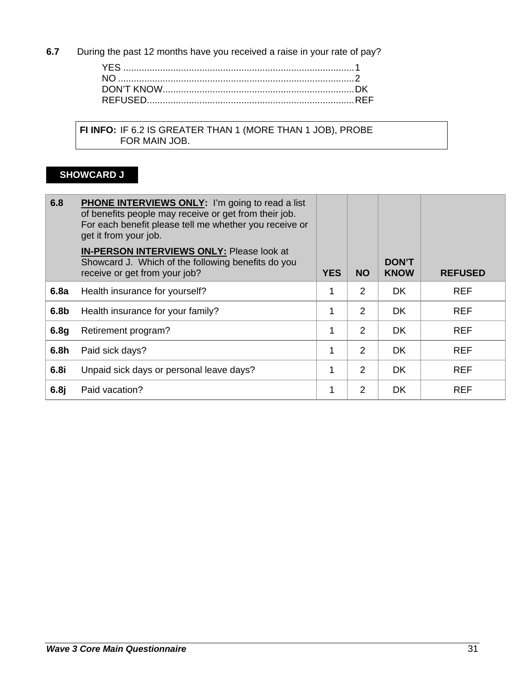**6.7** During the past 12 months have you received a raise in your rate of pay?

 **FI INFO:** IF 6.2 IS GREATER THAN 1 (MORE THAN 1 JOB), PROBE **FOR MAIN JOB.** 

# **SHOWCARD J**

| 6.8              | <b>PHONE INTERVIEWS ONLY:</b> I'm going to read a list<br>of benefits people may receive or get from their job.<br>For each benefit please tell me whether you receive or<br>get it from your job. |            |                |                             |                |
|------------------|----------------------------------------------------------------------------------------------------------------------------------------------------------------------------------------------------|------------|----------------|-----------------------------|----------------|
|                  | <b>IN-PERSON INTERVIEWS ONLY: Please look at</b><br>Showcard J. Which of the following benefits do you<br>receive or get from your job?                                                            | <b>YES</b> | <b>NO</b>      | <b>DON'T</b><br><b>KNOW</b> | <b>REFUSED</b> |
| 6.8a             | Health insurance for yourself?                                                                                                                                                                     | 1          | $\overline{2}$ | DK.                         | <b>REF</b>     |
| 6.8 <sub>b</sub> | Health insurance for your family?                                                                                                                                                                  | 1          | 2              | DK.                         | <b>REF</b>     |
| 6.8g             | Retirement program?                                                                                                                                                                                | 1          | $\overline{2}$ | DK.                         | <b>REF</b>     |
| 6.8 <sub>h</sub> | Paid sick days?                                                                                                                                                                                    | 1          | 2              | <b>DK</b>                   | <b>REF</b>     |
| 6.8i             | Unpaid sick days or personal leave days?                                                                                                                                                           | 1          | 2              | DK.                         | <b>REF</b>     |
| 6.8j             | Paid vacation?                                                                                                                                                                                     | 1          | 2              | <b>DK</b>                   | <b>REF</b>     |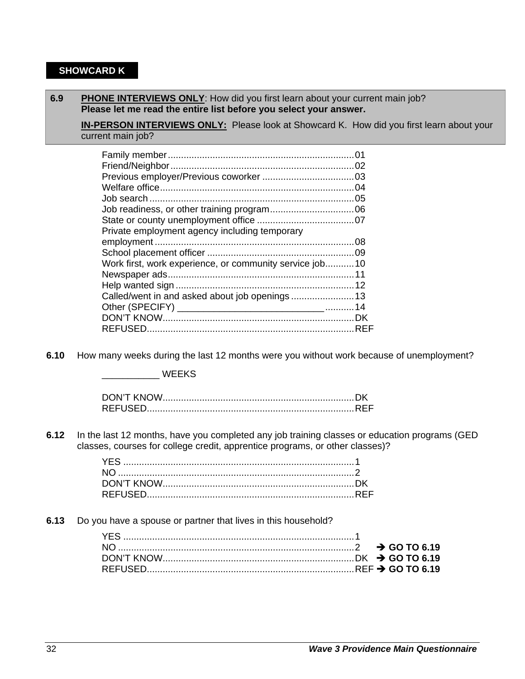### **SHOWCARD K**

#### **6.9** PHONE INTERVIEWS ONLY: How did you first learn about your current main job? **Please let me read the entire list before you select your answer.**

**IN-PERSON INTERVIEWS ONLY:** Please look at Showcard K. How did you first learn about your current main job?

| Private employment agency including temporary           |  |
|---------------------------------------------------------|--|
|                                                         |  |
|                                                         |  |
| Work first, work experience, or community service job10 |  |
|                                                         |  |
|                                                         |  |
|                                                         |  |
|                                                         |  |
|                                                         |  |
|                                                         |  |

**6.10** How many weeks during the last 12 months were you without work because of unemployment?

\_\_\_\_\_\_\_\_\_\_\_ WEEKS

**6.12** In the last 12 months, have you completed any job training classes or education programs (GED classes, courses for college credit, apprentice programs, or other classes)?

**6.13** Do you have a spouse or partner that lives in this household?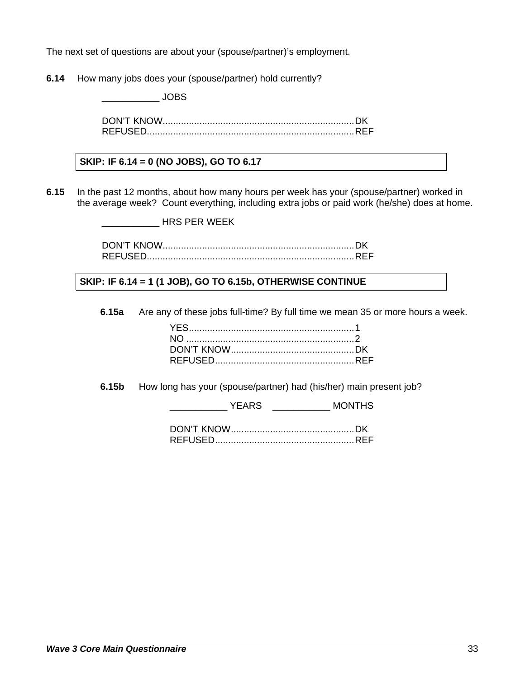The next set of questions are about your (spouse/partner)'s employment.

**6.14** How many jobs does your (spouse/partner) hold currently?

 $\overline{\phantom{a}}$  JOBS

DON'T KNOW ......................................................................... DK REFUSED............................................................................... REF

#### **SKIP: IF 6.14 = 0 (NO JOBS), GO TO 6.17**

**6.15** In the past 12 months, about how many hours per week has your (spouse/partner) worked in the average week? Count everything, including extra jobs or paid work (he/she) does at home.

\_\_\_\_\_\_\_\_\_\_\_ HRS PER WEEK

DON'T KNOW ......................................................................... DK REFUSED............................................................................... REF

 **SKIP: IF 6.14 = 1 (1 JOB), GO TO 6.15b, OTHERWISE CONTINUE** 

**6.15a** Are any of these jobs full-time? By full time we mean 35 or more hours a week.

**6.15b** How long has your (spouse/partner) had (his/her) main present job?

\_\_\_\_\_\_\_\_\_\_\_ YEARS \_\_\_\_\_\_\_\_\_\_\_ MONTHS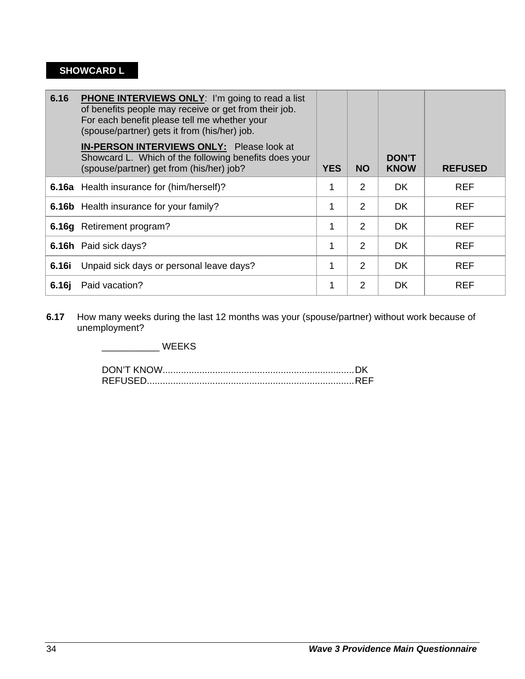# **SHOWCARD L**

| 6.16              | <b>PHONE INTERVIEWS ONLY:</b> I'm going to read a list<br>of benefits people may receive or get from their job.<br>For each benefit please tell me whether your<br>(spouse/partner) gets it from (his/her) job.<br>IN-PERSON INTERVIEWS ONLY: Please look at<br>Showcard L. Which of the following benefits does your |            |                | <b>DON'T</b> |                |
|-------------------|-----------------------------------------------------------------------------------------------------------------------------------------------------------------------------------------------------------------------------------------------------------------------------------------------------------------------|------------|----------------|--------------|----------------|
|                   | (spouse/partner) get from (his/her) job?                                                                                                                                                                                                                                                                              | <b>YES</b> | <b>NO</b>      | <b>KNOW</b>  | <b>REFUSED</b> |
|                   | <b>6.16a</b> Health insurance for (him/herself)?                                                                                                                                                                                                                                                                      |            | 2              | DK.          | <b>REF</b>     |
|                   | <b>6.16b</b> Health insurance for your family?                                                                                                                                                                                                                                                                        | 1          | $\overline{2}$ | DK           | <b>REF</b>     |
|                   | 6.16g Retirement program?                                                                                                                                                                                                                                                                                             | 1          | $\overline{2}$ | DK.          | <b>REF</b>     |
|                   | <b>6.16h</b> Paid sick days?                                                                                                                                                                                                                                                                                          | 1          | 2              | <b>DK</b>    | <b>REF</b>     |
| 6.16i             | Unpaid sick days or personal leave days?                                                                                                                                                                                                                                                                              |            | $\mathcal{P}$  | <b>DK</b>    | <b>REF</b>     |
| 6.16 <sub>j</sub> | Paid vacation?                                                                                                                                                                                                                                                                                                        |            | 2              | DK           | <b>REF</b>     |

**6.17** How many weeks during the last 12 months was your (spouse/partner) without work because of unemployment?

\_\_\_\_\_\_\_\_\_\_\_ WEEKS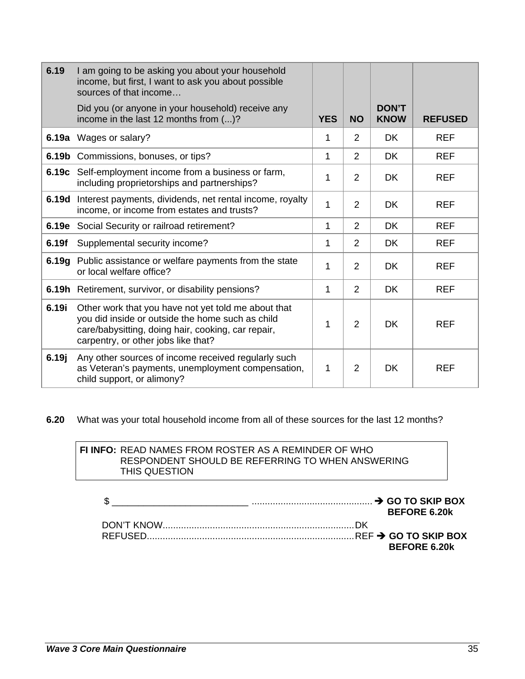| 6.19  | I am going to be asking you about your household<br>income, but first, I want to ask you about possible<br>sources of that income                                                                    |            |                |                             |                |
|-------|------------------------------------------------------------------------------------------------------------------------------------------------------------------------------------------------------|------------|----------------|-----------------------------|----------------|
|       | Did you (or anyone in your household) receive any<br>income in the last 12 months from ()?                                                                                                           | <b>YES</b> | <b>NO</b>      | <b>DON'T</b><br><b>KNOW</b> | <b>REFUSED</b> |
|       | 6.19a Wages or salary?                                                                                                                                                                               | 1          | $\overline{2}$ | DK.                         | <b>REF</b>     |
|       | <b>6.19b</b> Commissions, bonuses, or tips?                                                                                                                                                          | 1          | 2              | DK                          | <b>REF</b>     |
| 6.19с | Self-employment income from a business or farm,<br>including proprietorships and partnerships?                                                                                                       | 1          | 2              | <b>DK</b>                   | <b>REF</b>     |
| 6.19d | Interest payments, dividends, net rental income, royalty<br>income, or income from estates and trusts?                                                                                               | 1          | $\overline{2}$ | <b>DK</b>                   | <b>REF</b>     |
|       | <b>6.19e</b> Social Security or railroad retirement?                                                                                                                                                 | 1          | 2              | <b>DK</b>                   | <b>REF</b>     |
| 6.19f | Supplemental security income?                                                                                                                                                                        | 1          | 2              | <b>DK</b>                   | <b>REF</b>     |
|       | 6.19g Public assistance or welfare payments from the state<br>or local welfare office?                                                                                                               | 1          | $\overline{2}$ | <b>DK</b>                   | <b>REF</b>     |
|       | 6.19h Retirement, survivor, or disability pensions?                                                                                                                                                  | 1          | 2              | <b>DK</b>                   | <b>REF</b>     |
| 6.19i | Other work that you have not yet told me about that<br>you did inside or outside the home such as child<br>care/babysitting, doing hair, cooking, car repair,<br>carpentry, or other jobs like that? | 1          | $\overline{2}$ | <b>DK</b>                   | <b>REF</b>     |
| 6.19j | Any other sources of income received regularly such<br>as Veteran's payments, unemployment compensation,<br>child support, or alimony?                                                               | 1          | $\overline{2}$ | <b>DK</b>                   | <b>REF</b>     |

**6.20** What was your total household income from all of these sources for the last 12 months?

#### **FI INFO:** READ NAMES FROM ROSTER AS A REMINDER OF WHO RESPONDENT SHOULD BE REFERRING TO WHEN ANSWERING THIS QUESTION

|  | <b>BEFORE 6.20k</b> |
|--|---------------------|
|  |                     |
|  | <b>BEFORE 6.20k</b> |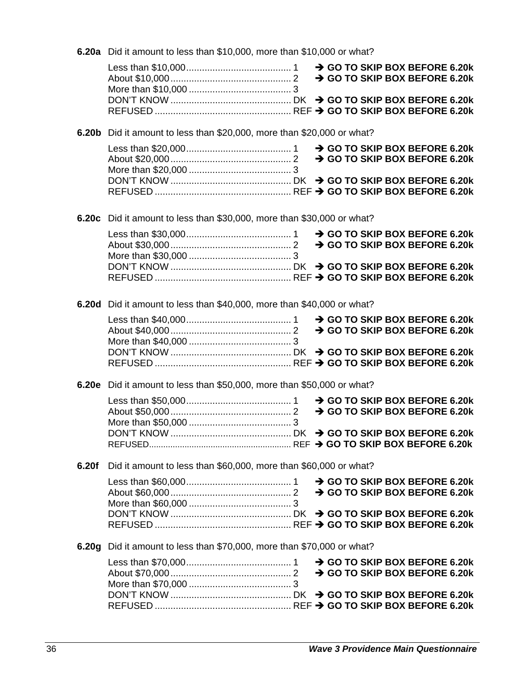6.20a Did it amount to less than \$10,000, more than \$10,000 or what?

6.20b Did it amount to less than \$20,000, more than \$20,000 or what?

6.20c Did it amount to less than \$30,000, more than \$30,000 or what?

6.20d Did it amount to less than \$40,000, more than \$40,000 or what?

6.20e Did it amount to less than \$50,000, more than \$50,000 or what?

6.20f Did it amount to less than \$60,000, more than \$60,000 or what?

6.20g Did it amount to less than \$70,000, more than \$70,000 or what?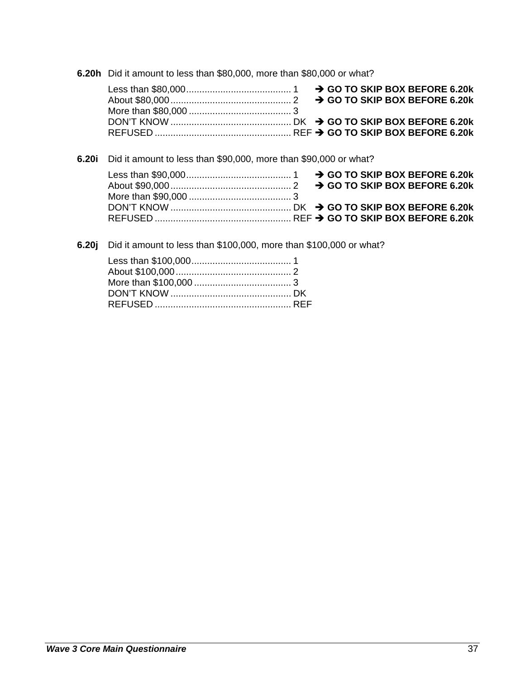6.20h Did it amount to less than \$80,000, more than \$80,000 or what?

6.20i Did it amount to less than \$90,000, more than \$90,000 or what?

6.20j Did it amount to less than \$100,000, more than \$100,000 or what?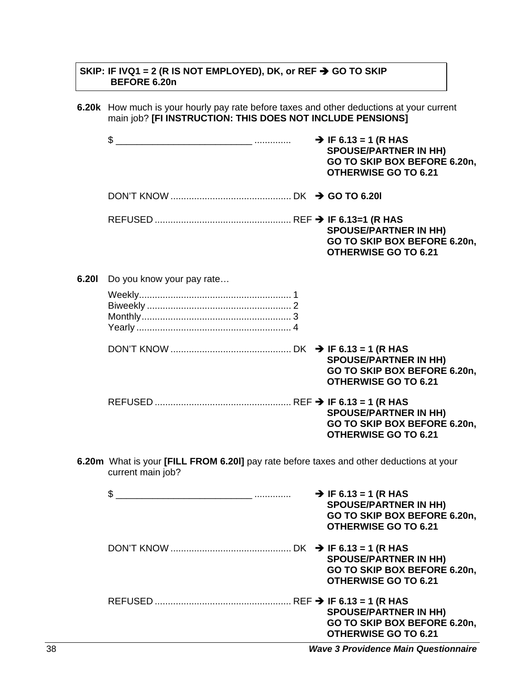#### SKIP: IF IVQ1 = 2 (R IS NOT EMPLOYED), DK, or REF  $\rightarrow$  GO TO SKIP BEFORE 6.20n

6.20k How much is your hourly pay rate before taxes and other deductions at your current main job? [FI INSTRUCTION: THIS DOES NOT INCLUDE PENSIONS]

|       | \$<br>______ …………         | $\rightarrow$ IF 6.13 = 1 (R HAS<br><b>SPOUSE/PARTNER IN HH)</b><br>GO TO SKIP BOX BEFORE 6.20n,<br><b>OTHERWISE GO TO 6.21</b> |
|-------|---------------------------|---------------------------------------------------------------------------------------------------------------------------------|
|       |                           |                                                                                                                                 |
|       |                           | <b>SPOUSE/PARTNER IN HH)</b><br>GO TO SKIP BOX BEFORE 6.20n,<br><b>OTHERWISE GO TO 6.21</b>                                     |
| 6.201 | Do you know your pay rate |                                                                                                                                 |
|       |                           |                                                                                                                                 |
|       |                           | <b>SPOUSE/PARTNER IN HH)</b><br>GO TO SKIP BOX BEFORE 6.20n,<br><b>OTHERWISE GO TO 6.21</b>                                     |
|       |                           | <b>SPOUSE/PARTNER IN HH)</b><br>GO TO SKIP BOX BEFORE 6.20n,<br><b>OTHERWISE GO TO 6.21</b>                                     |

6.20m What is your [FILL FROM 6.20I] pay rate before taxes and other deductions at your current main job?

| . | $\rightarrow$ IF 6.13 = 1 (R HAS<br><b>SPOUSE/PARTNER IN HH)</b><br>GO TO SKIP BOX BEFORE 6.20n,<br><b>OTHERWISE GO TO 6.21</b> |
|---|---------------------------------------------------------------------------------------------------------------------------------|
|   | <b>SPOUSE/PARTNER IN HH)</b><br>GO TO SKIP BOX BEFORE 6.20n,<br><b>OTHERWISE GO TO 6.21</b>                                     |
|   | <b>SPOUSE/PARTNER IN HH)</b><br>GO TO SKIP BOX BEFORE 6.20n,<br><b>OTHERWISE GO TO 6.21</b>                                     |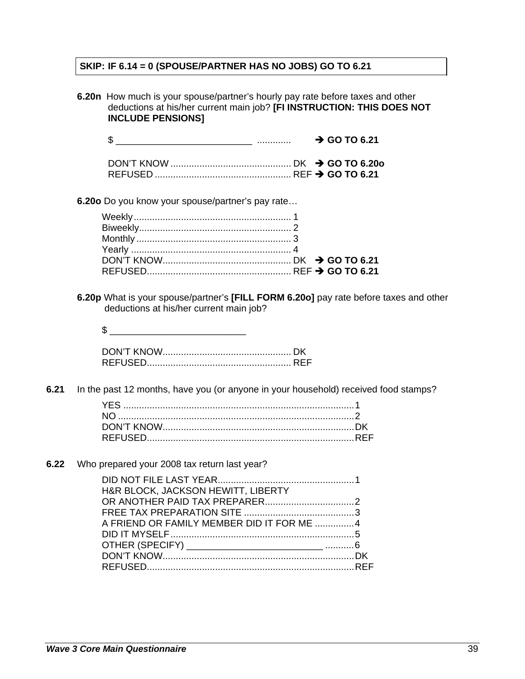# **SKIP: IF 6.14 = 0 (SPOUSE/PARTNER HAS NO JOBS) GO TO 6.21**

|      | 6.20n How much is your spouse/partner's hourly pay rate before taxes and other<br>deductions at his/her current main job? [FI INSTRUCTION: THIS DOES NOT<br><b>INCLUDE PENSIONS]</b> |                                                                                       |  |  |  |  |  |  |
|------|--------------------------------------------------------------------------------------------------------------------------------------------------------------------------------------|---------------------------------------------------------------------------------------|--|--|--|--|--|--|
|      |                                                                                                                                                                                      | $\rightarrow$ GO TO 6.21                                                              |  |  |  |  |  |  |
|      |                                                                                                                                                                                      |                                                                                       |  |  |  |  |  |  |
|      | 6.200 Do you know your spouse/partner's pay rate                                                                                                                                     |                                                                                       |  |  |  |  |  |  |
|      |                                                                                                                                                                                      |                                                                                       |  |  |  |  |  |  |
|      | deductions at his/her current main job?                                                                                                                                              | 6.20p What is your spouse/partner's [FILL FORM 6.20o] pay rate before taxes and other |  |  |  |  |  |  |
|      |                                                                                                                                                                                      |                                                                                       |  |  |  |  |  |  |
| 6.21 |                                                                                                                                                                                      | In the past 12 months, have you (or anyone in your household) received food stamps?   |  |  |  |  |  |  |
|      |                                                                                                                                                                                      |                                                                                       |  |  |  |  |  |  |
| 6.22 | Who prepared your 2008 tax return last year?                                                                                                                                         |                                                                                       |  |  |  |  |  |  |
|      | H&R BLOCK, JACKSON HEWITT, LIBERTY<br>A FRIEND OR FAMILY MEMBER DID IT FOR ME 4                                                                                                      |                                                                                       |  |  |  |  |  |  |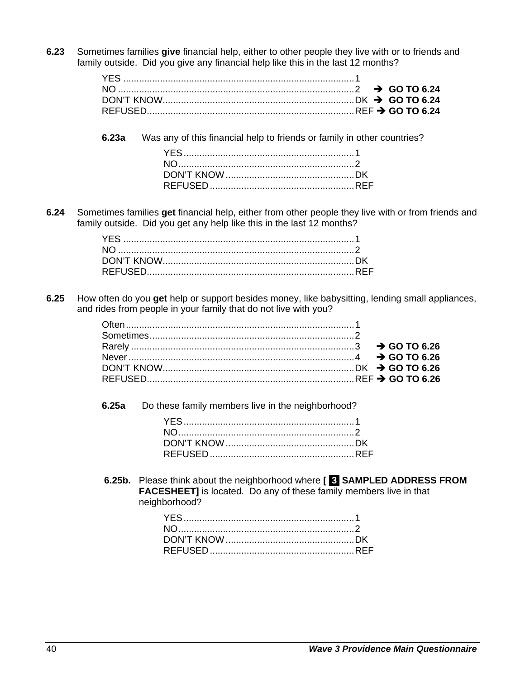**6.23** Sometimes families **give** financial help, either to other people they live with or to friends and family outside. Did you give any financial help like this in the last 12 months?

**6.23a** Was any of this financial help to friends or family in other countries?

**6.24** Sometimes families **get** financial help, either from other people they live with or from friends and family outside. Did you get any help like this in the last 12 months?

**6.25** How often do you **get** help or support besides money, like babysitting, lending small appliances, and rides from people in your family that do not live with you?

**6.25a** Do these family members live in the neighborhood?

**6.25b.** Please think about the neighborhood where **[ 3 SAMPLED ADDRESS FROM FACESHEET]** is located. Do any of these family members live in that neighborhood?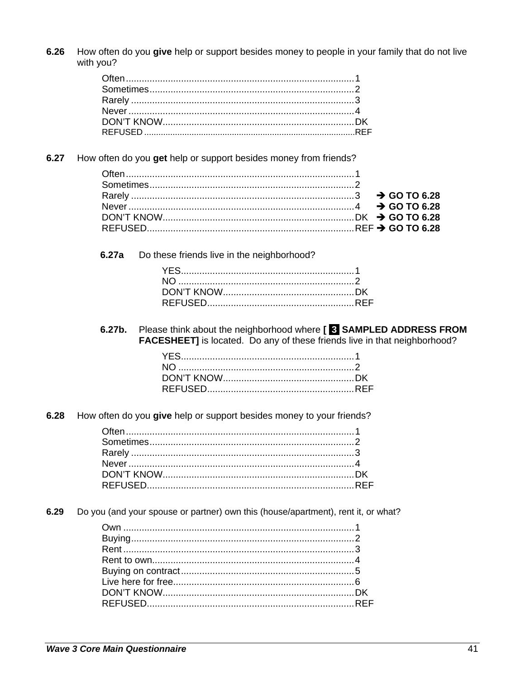$6.26$ How often do you give help or support besides money to people in your family that do not live with you?

 $6.27$ How often do you get help or support besides money from friends?

 $6.27a$ Do these friends live in the neighborhood?

Please think about the neighborhood where [ 8 SAMPLED ADDRESS FROM 6.27b. **FACESHEET]** is located. Do any of these friends live in that neighborhood?

 $6.28$ How often do you give help or support besides money to your friends?

6.29 Do you (and your spouse or partner) own this (house/apartment), rent it, or what?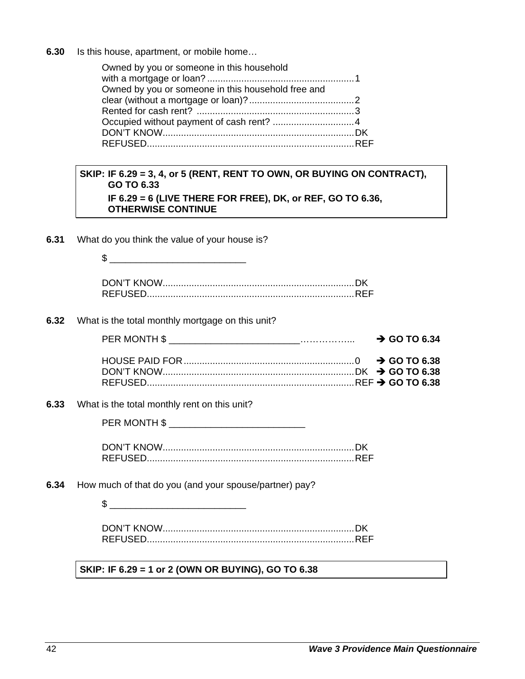**6.30** Is this house, apartment, or mobile home…

| Owned by you or someone in this household          |  |
|----------------------------------------------------|--|
|                                                    |  |
| Owned by you or someone in this household free and |  |
|                                                    |  |
|                                                    |  |
|                                                    |  |
|                                                    |  |
|                                                    |  |

#### **SKIP: IF 6.29 = 3, 4, or 5 (RENT, RENT TO OWN, OR BUYING ON CONTRACT), GO TO 6.33 IF 6.29 = 6 (LIVE THERE FOR FREE), DK, or REF, GO TO 6.36, OTHERWISE CONTINUE**

**6.31** What do you think the value of your house is?

\$ \_\_\_\_\_\_\_\_\_\_\_\_\_\_\_\_\_\_\_\_\_\_\_\_\_\_

**6.32** What is the total monthly mortgage on this unit?

| $\rightarrow$ GO TO 6.34 |
|--------------------------|
|                          |
|                          |

**6.33** What is the total monthly rent on this unit?

| PER MONTH \$ |  |
|--------------|--|
|              |  |
| -. <u></u> . |  |

**6.34** How much of that do you (and your spouse/partner) pay?

\$ \_\_\_\_\_\_\_\_\_\_\_\_\_\_\_\_\_\_\_\_\_\_\_\_\_\_

 **SKIP: IF 6.29 = 1 or 2 (OWN OR BUYING), GO TO 6.38**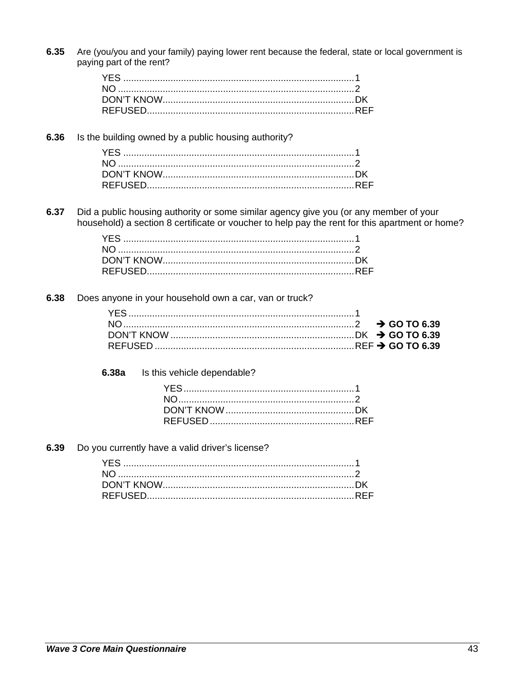6.35 Are (you/you and your family) paying lower rent because the federal, state or local government is paying part of the rent?

#### 6.36 Is the building owned by a public housing authority?

6.37 Did a public housing authority or some similar agency give you (or any member of your household) a section 8 certificate or voucher to help pay the rent for this apartment or home?

#### 6.38 Does anyone in your household own a car, van or truck?

#### $6.38a$ Is this vehicle dependable?

#### 6.39 Do you currently have a valid driver's license?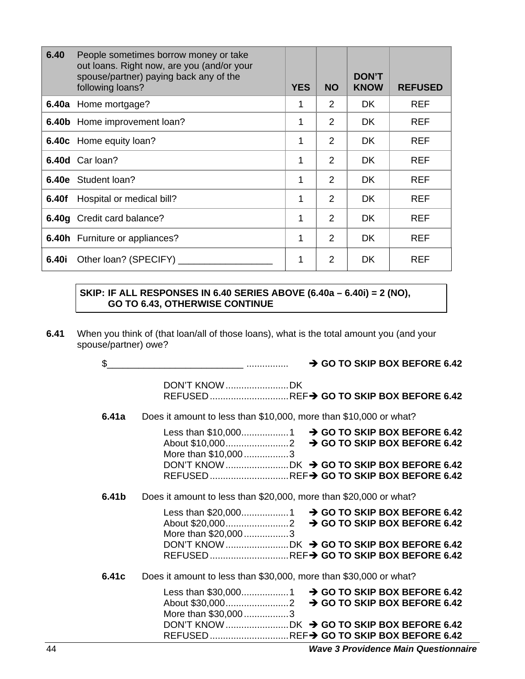| 6.40  | People sometimes borrow money or take<br>out loans. Right now, are you (and/or your<br>spouse/partner) paying back any of the<br>following loans? | <b>YES</b> | <b>NO</b>      | <b>DON'T</b><br><b>KNOW</b> | <b>REFUSED</b> |
|-------|---------------------------------------------------------------------------------------------------------------------------------------------------|------------|----------------|-----------------------------|----------------|
|       | <b>6.40a</b> Home mortgage?                                                                                                                       | 1          | $\mathcal{P}$  | DK.                         | <b>REF</b>     |
|       | 6.40b Home improvement loan?                                                                                                                      | 1          | 2              | <b>DK</b>                   | <b>REF</b>     |
|       | <b>6.40c</b> Home equity loan?                                                                                                                    | 1          | 2              | DK.                         | <b>REF</b>     |
|       | 6.40d Carloan?                                                                                                                                    | 1          | 2              | DK.                         | <b>REF</b>     |
|       | 6.40e Student loan?                                                                                                                               | 1          | 2              | <b>DK</b>                   | <b>REF</b>     |
| 6.40f | Hospital or medical bill?                                                                                                                         | 1          | $\mathfrak{p}$ | <b>DK</b>                   | <b>REF</b>     |
|       | <b>6.40g</b> Credit card balance?                                                                                                                 | 1          | $\mathfrak{p}$ | DK.                         | <b>REF</b>     |
|       | <b>6.40h</b> Furniture or appliances?                                                                                                             | 1          | $\mathfrak{p}$ | <b>DK</b>                   | <b>REF</b>     |
| 6.40i | Other loan? (SPECIFY)                                                                                                                             | 1          | 2              | <b>DK</b>                   | <b>REF</b>     |

#### **SKIP: IF ALL RESPONSES IN 6.40 SERIES ABOVE (6.40a – 6.40i) = 2 (NO), GO TO 6.43, OTHERWISE CONTINUE**

**6.41** When you think of (that loan/all of those loans), what is the total amount you (and your spouse/partner) owe?

| \$    | $\rightarrow$ GO TO SKIP BOX BEFORE 6.42                                              |
|-------|---------------------------------------------------------------------------------------|
|       | REFUSED REF→ GO TO SKIP BOX BEFORE 6.42                                               |
| 6.41a | Does it amount to less than \$10,000, more than \$10,000 or what?                     |
|       | More than \$10,0003                                                                   |
|       | DON'T KNOW DK → GO TO SKIP BOX BEFORE 6.42<br>REFUSED REF→ GO TO SKIP BOX BEFORE 6.42 |
| 6.41b | Does it amount to less than \$20,000, more than \$20,000 or what?                     |
|       | More than \$20,0003<br>REFUSED REF> GO TO SKIP BOX BEFORE 6.42                        |
| 6.41c | Does it amount to less than \$30,000, more than \$30,000 or what?                     |
|       | More than \$30,0003<br>DON'T KNOW DK → GO TO SKIP BOX BEFORE 6.42                     |
|       | REFUSED REF→ GO TO SKIP BOX BEFORE 6.42                                               |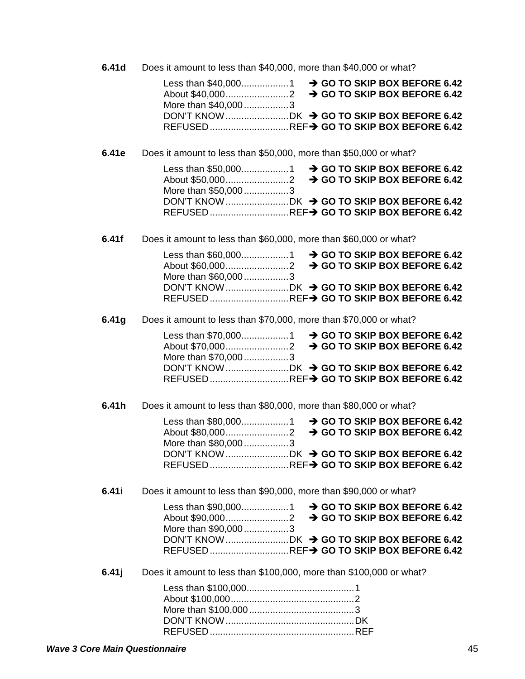6.41d Does it amount to less than \$40,000, more than \$40,000 or what?

| More than \$40,0003                     |  |  |  |  |
|-----------------------------------------|--|--|--|--|
|                                         |  |  |  |  |
| REFUSED REF→ GO TO SKIP BOX BEFORE 6.42 |  |  |  |  |

6.41e Does it amount to less than \$50,000, more than \$50,000 or what?

| Less than \$50,0001 → GO TO SKIP BOX BEFORE 6.42 |  |  |  |  |
|--------------------------------------------------|--|--|--|--|
| More than \$50,0003                              |  |  |  |  |
| DON'T KNOW DK → GO TO SKIP BOX BEFORE 6.42       |  |  |  |  |
| REFUSED REF→ GO TO SKIP BOX BEFORE 6.42          |  |  |  |  |

 $6.41f$ Does it amount to less than \$60,000, more than \$60,000 or what?

| More than \$60,0003                        |  |  |  |  |
|--------------------------------------------|--|--|--|--|
| DON'T KNOW DK → GO TO SKIP BOX BEFORE 6.42 |  |  |  |  |
| REFUSED REF→ GO TO SKIP BOX BEFORE 6.42    |  |  |  |  |

6.41g Does it amount to less than \$70,000, more than \$70,000 or what?

| More than \$70,0003                        |  |  |  |  |
|--------------------------------------------|--|--|--|--|
| DON'T KNOW DK → GO TO SKIP BOX BEFORE 6.42 |  |  |  |  |
| REFUSED REF→ GO TO SKIP BOX BEFORE 6.42    |  |  |  |  |

6.41h Does it amount to less than \$80,000, more than \$80,000 or what?

| More than \$80,0003                     |  |  |  |  |
|-----------------------------------------|--|--|--|--|
|                                         |  |  |  |  |
| REFUSED REF→ GO TO SKIP BOX BEFORE 6.42 |  |  |  |  |

6.41i Does it amount to less than \$90,000, more than \$90,000 or what?

| More than \$90,0003                        |  |  |  |  |
|--------------------------------------------|--|--|--|--|
| DON'T KNOW DK → GO TO SKIP BOX BEFORE 6.42 |  |  |  |  |
| REFUSED REF→ GO TO SKIP BOX BEFORE 6.42    |  |  |  |  |

 $6.41j$ Does it amount to less than \$100,000, more than \$100,000 or what?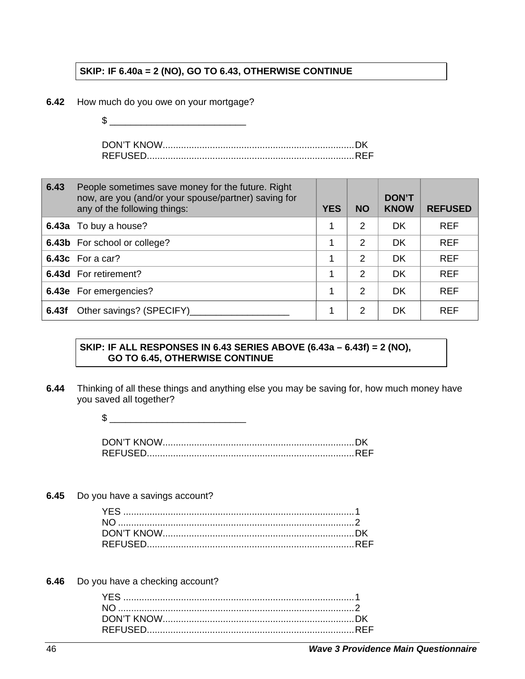#### **SKIP: IF 6.40a = 2 (NO), GO TO 6.43, OTHERWISE CONTINUE**

- **6.42** How much do you owe on your mortgage?
	- $\frac{1}{2}$   $\frac{1}{2}$   $\frac{1}{2}$   $\frac{1}{2}$   $\frac{1}{2}$   $\frac{1}{2}$   $\frac{1}{2}$   $\frac{1}{2}$   $\frac{1}{2}$   $\frac{1}{2}$   $\frac{1}{2}$   $\frac{1}{2}$   $\frac{1}{2}$   $\frac{1}{2}$   $\frac{1}{2}$   $\frac{1}{2}$   $\frac{1}{2}$   $\frac{1}{2}$   $\frac{1}{2}$   $\frac{1}{2}$   $\frac{1}{2}$   $\frac{1}{2}$

DON'T KNOW ......................................................................... DK REFUSED............................................................................... REF

| 6.43  | People sometimes save money for the future. Right<br>now, are you (and/or your spouse/partner) saving for<br>any of the following things: | <b>YES</b> | <b>NO</b>     | <b>DON'T</b><br><b>KNOW</b> | <b>REFUSED</b> |
|-------|-------------------------------------------------------------------------------------------------------------------------------------------|------------|---------------|-----------------------------|----------------|
|       | 6.43a To buy a house?                                                                                                                     | 1          | 2             | DK                          | <b>REF</b>     |
|       | <b>6.43b</b> For school or college?                                                                                                       |            | 2             | <b>DK</b>                   | <b>REF</b>     |
|       | <b>6.43c</b> For a car?                                                                                                                   |            | $\mathcal{P}$ | <b>DK</b>                   | <b>REF</b>     |
|       | 6.43d For retirement?                                                                                                                     | 1          | $\mathcal{P}$ | DK                          | <b>REF</b>     |
|       | <b>6.43e</b> For emergencies?                                                                                                             | 1          | 2             | DK                          | <b>REF</b>     |
| 6.43f | Other savings? (SPECIFY)                                                                                                                  | 1          | 2             | DK                          | <b>REF</b>     |

#### **SKIP: IF ALL RESPONSES IN 6.43 SERIES ABOVE (6.43a – 6.43f) = 2 (NO), GO TO 6.45, OTHERWISE CONTINUE**

**6.44** Thinking of all these things and anything else you may be saving for, how much money have you saved all together?

**6.45** Do you have a savings account?

**6.46** Do you have a checking account?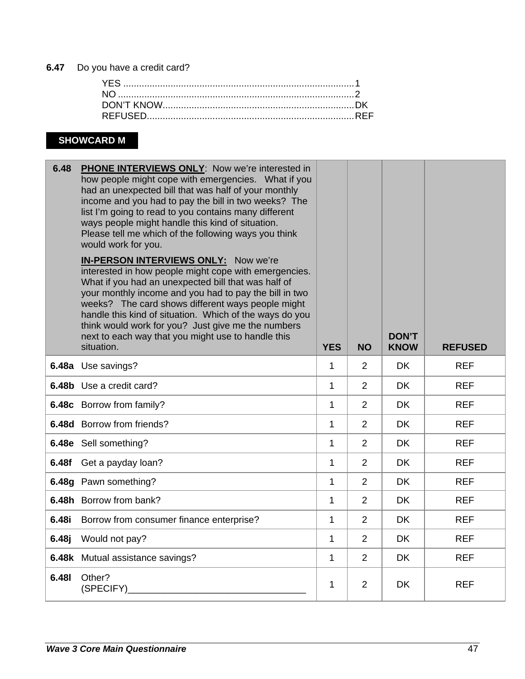### **6.47** Do you have a credit card?

# **SHOWCARD M**

| 6.48         | PHONE INTERVIEWS ONLY: Now we're interested in<br>how people might cope with emergencies. What if you<br>had an unexpected bill that was half of your monthly<br>income and you had to pay the bill in two weeks? The<br>list I'm going to read to you contains many different<br>ways people might handle this kind of situation.<br>Please tell me which of the following ways you think<br>would work for you.<br>IN-PERSON INTERVIEWS ONLY: Now we're<br>interested in how people might cope with emergencies.<br>What if you had an unexpected bill that was half of<br>your monthly income and you had to pay the bill in two<br>weeks? The card shows different ways people might<br>handle this kind of situation. Which of the ways do you<br>think would work for you? Just give me the numbers<br>next to each way that you might use to handle this<br>situation. | <b>YES</b>   | <b>NO</b>      | <b>DON'T</b><br><b>KNOW</b> | <b>REFUSED</b> |
|--------------|-------------------------------------------------------------------------------------------------------------------------------------------------------------------------------------------------------------------------------------------------------------------------------------------------------------------------------------------------------------------------------------------------------------------------------------------------------------------------------------------------------------------------------------------------------------------------------------------------------------------------------------------------------------------------------------------------------------------------------------------------------------------------------------------------------------------------------------------------------------------------------|--------------|----------------|-----------------------------|----------------|
|              | 6.48a Use savings?                                                                                                                                                                                                                                                                                                                                                                                                                                                                                                                                                                                                                                                                                                                                                                                                                                                            | $\mathbf{1}$ | 2              | <b>DK</b>                   | <b>REF</b>     |
|              | 6.48b Use a credit card?                                                                                                                                                                                                                                                                                                                                                                                                                                                                                                                                                                                                                                                                                                                                                                                                                                                      | 1            | 2              | <b>DK</b>                   | <b>REF</b>     |
|              | 6.48c Borrow from family?                                                                                                                                                                                                                                                                                                                                                                                                                                                                                                                                                                                                                                                                                                                                                                                                                                                     | $\mathbf{1}$ | $\overline{2}$ | <b>DK</b>                   | <b>REF</b>     |
|              | <b>6.48d</b> Borrow from friends?                                                                                                                                                                                                                                                                                                                                                                                                                                                                                                                                                                                                                                                                                                                                                                                                                                             | $\mathbf 1$  | 2              | <b>DK</b>                   | <b>REF</b>     |
|              | 6.48e Sell something?                                                                                                                                                                                                                                                                                                                                                                                                                                                                                                                                                                                                                                                                                                                                                                                                                                                         | $\mathbf{1}$ | $\overline{2}$ | <b>DK</b>                   | <b>REF</b>     |
| 6.48f        | Get a payday loan?                                                                                                                                                                                                                                                                                                                                                                                                                                                                                                                                                                                                                                                                                                                                                                                                                                                            | $\mathbf{1}$ | $\overline{2}$ | <b>DK</b>                   | <b>REF</b>     |
|              | 6.48g Pawn something?                                                                                                                                                                                                                                                                                                                                                                                                                                                                                                                                                                                                                                                                                                                                                                                                                                                         | $\mathbf{1}$ | 2              | <b>DK</b>                   | <b>REF</b>     |
|              | 6.48h Borrow from bank?                                                                                                                                                                                                                                                                                                                                                                                                                                                                                                                                                                                                                                                                                                                                                                                                                                                       | 1            | 2              | <b>DK</b>                   | <b>REF</b>     |
| 6.48i        | Borrow from consumer finance enterprise?                                                                                                                                                                                                                                                                                                                                                                                                                                                                                                                                                                                                                                                                                                                                                                                                                                      | $\mathbf{1}$ | $\overline{2}$ | <b>DK</b>                   | <b>REF</b>     |
| 6.48j        | Would not pay?                                                                                                                                                                                                                                                                                                                                                                                                                                                                                                                                                                                                                                                                                                                                                                                                                                                                | $\mathbf{1}$ | 2              | <b>DK</b>                   | <b>REF</b>     |
|              | 6.48k Mutual assistance savings?                                                                                                                                                                                                                                                                                                                                                                                                                                                                                                                                                                                                                                                                                                                                                                                                                                              | 1            | 2              | <b>DK</b>                   | <b>REF</b>     |
| <b>6.481</b> | Other?<br>(SPECIFY)                                                                                                                                                                                                                                                                                                                                                                                                                                                                                                                                                                                                                                                                                                                                                                                                                                                           | 1            | $\overline{2}$ | <b>DK</b>                   | <b>REF</b>     |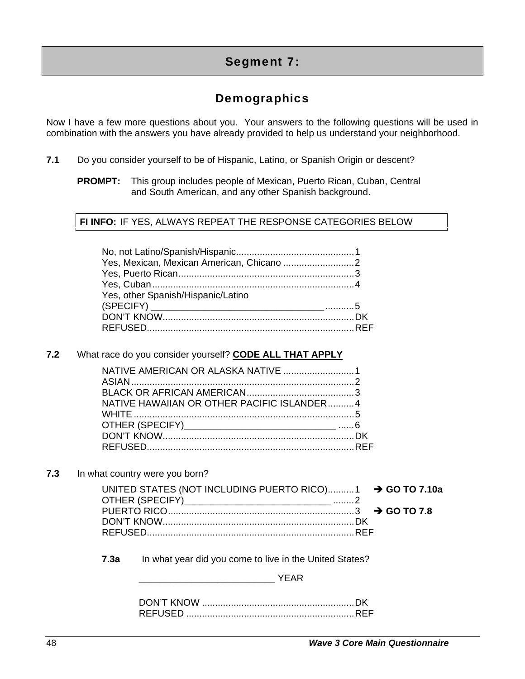# Segment 7:

# **Demographics**

Now I have a few more questions about you. Your answers to the following questions will be used in combination with the answers you have already provided to help us understand your neighborhood.

- **7.1** Do you consider yourself to be of Hispanic, Latino, or Spanish Origin or descent?
	- **PROMPT:** This group includes people of Mexican, Puerto Rican, Cuban, Central and South American, and any other Spanish background.

#### **FI INFO:** IF YES, ALWAYS REPEAT THE RESPONSE CATEGORIES BELOW

| Yes, other Spanish/Hispanic/Latino |  |
|------------------------------------|--|
|                                    |  |
|                                    |  |
|                                    |  |

#### **7.2** What race do you consider yourself? **CODE ALL THAT APPLY**

| NATIVE HAWAIIAN OR OTHER PACIFIC ISLANDER4 |  |
|--------------------------------------------|--|
|                                            |  |
|                                            |  |
|                                            |  |
|                                            |  |

**7.3** In what country were you born?

| UNITED STATES (NOT INCLUDING PUERTO RICO)1 → GO TO 7.10a |  |
|----------------------------------------------------------|--|
|                                                          |  |
|                                                          |  |
|                                                          |  |
|                                                          |  |
|                                                          |  |

**7.3a** In what year did you come to live in the United States?

 $\blacksquare$   $\blacksquare$   $\blacksquare$   $\blacksquare$   $\blacksquare$   $\blacksquare$   $\blacksquare$   $\blacksquare$   $\blacksquare$   $\blacksquare$   $\blacksquare$   $\blacksquare$   $\blacksquare$   $\blacksquare$   $\blacksquare$   $\blacksquare$   $\blacksquare$   $\blacksquare$   $\blacksquare$   $\blacksquare$   $\blacksquare$   $\blacksquare$   $\blacksquare$   $\blacksquare$   $\blacksquare$   $\blacksquare$   $\blacksquare$   $\blacksquare$   $\blacksquare$   $\blacksquare$   $\blacksquare$   $\blacks$ 

| <b>REFUSED</b> |  |
|----------------|--|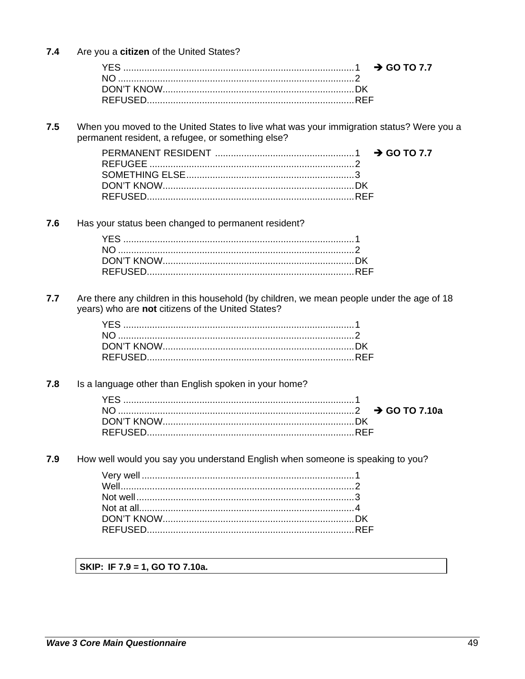$7.4$ Are you a citizen of the United States?

 $7.5$ When you moved to the United States to live what was your immigration status? Were you a permanent resident, a refugee, or something else?

 $7.6$ Has your status been changed to permanent resident?

 $7.7$ Are there any children in this household (by children, we mean people under the age of 18 years) who are not citizens of the United States?

 $7.8$ Is a language other than English spoken in your home?

 $7.9$ How well would you say you understand English when someone is speaking to you?

SKIP: IF 7.9 = 1, GO TO 7.10a.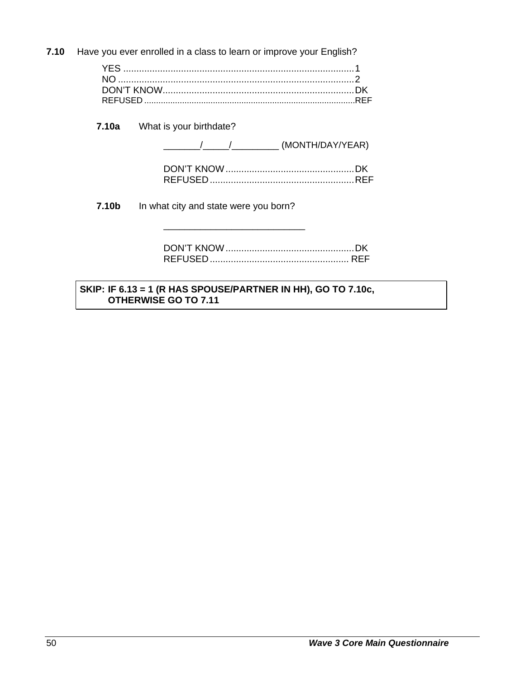**7.10** Have you ever enrolled in a class to learn or improve your English? YES ........................................................................................ 1 NO .......................................................................................... 2 DON'T KNOW ......................................................................... DK REFUSED .........................................................................................REF **7.10a** What is your birthdate? /\_\_\_\_\_\_/\_\_\_\_\_\_\_\_\_\_\_\_\_\_\_ (MONTH/DAY/YEAR) DON'T KNOW ................................................. DK REFUSED ....................................................... REF **7.10b** In what city and state were you born? \_\_\_\_\_\_\_\_\_\_\_\_\_\_\_\_\_\_\_\_\_\_\_\_\_\_\_ DON'T KNOW ................................................. DK REFUSED ..................................................... REF

#### **SKIP: IF 6.13 = 1 (R HAS SPOUSE/PARTNER IN HH), GO TO 7.10c, OTHERWISE GO TO 7.11**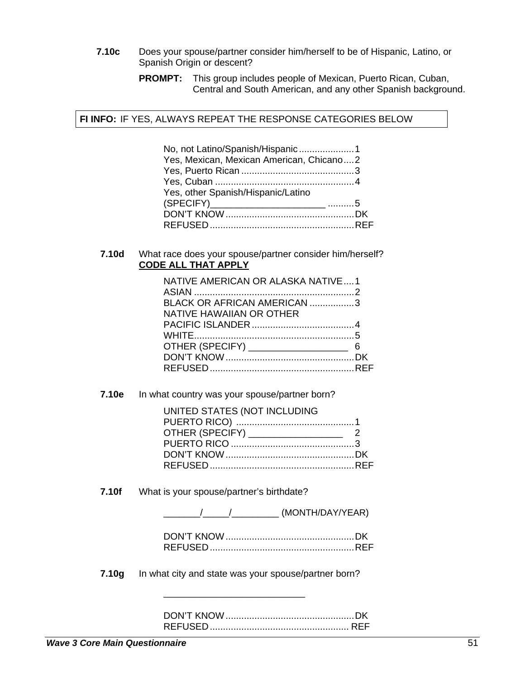- **7.10c** Does your spouse/partner consider him/herself to be of Hispanic, Latino, or Spanish Origin or descent?
	- **PROMPT:** This group includes people of Mexican, Puerto Rican, Cuban, Central and South American, and any other Spanish background.

 **FI INFO:** IF YES, ALWAYS REPEAT THE RESPONSE CATEGORIES BELOW

| No, not Latino/Spanish/Hispanic1         |  |
|------------------------------------------|--|
| Yes, Mexican, Mexican American, Chicano2 |  |
|                                          |  |
|                                          |  |
| Yes, other Spanish/Hispanic/Latino       |  |
|                                          |  |
|                                          |  |
|                                          |  |

#### **7.10d** What race does your spouse/partner consider him/herself?  **CODE ALL THAT APPLY**

| NATIVE AMERICAN OR ALASKA NATIVE1 |  |
|-----------------------------------|--|
| BLACK OR AFRICAN AMERICAN 3       |  |
| NATIVE HAWAIIAN OR OTHER          |  |
|                                   |  |
|                                   |  |
|                                   |  |
|                                   |  |
|                                   |  |
|                                   |  |

**7.10e** In what country was your spouse/partner born?

| UNITED STATES (NOT INCLUDING |  |
|------------------------------|--|
|                              |  |
|                              |  |
|                              |  |
|                              |  |
|                              |  |
|                              |  |

**7.10f** What is your spouse/partner's birthdate?

\_\_\_\_\_\_\_/\_\_\_\_\_/\_\_\_\_\_\_\_\_\_ (MONTH/DAY/YEAR)

**7.10g** In what city and state was your spouse/partner born?

\_\_\_\_\_\_\_\_\_\_\_\_\_\_\_\_\_\_\_\_\_\_\_\_\_\_\_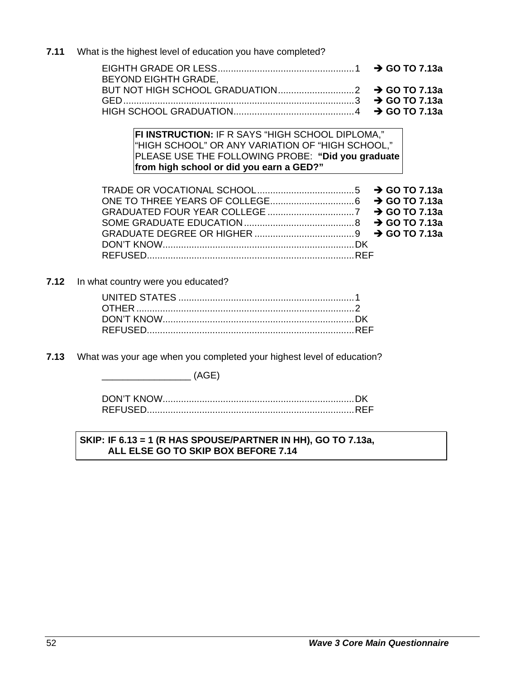$7.11$ What is the highest level of education you have completed?

| <b>BEYOND EIGHTH GRADE,</b> |  |
|-----------------------------|--|
|                             |  |
|                             |  |
|                             |  |

FI INSTRUCTION: IF R SAYS "HIGH SCHOOL DIPLOMA," "HIGH SCHOOL" OR ANY VARIATION OF "HIGH SCHOOL," PLEASE USE THE FOLLOWING PROBE: "Did you graduate from high school or did you earn a GED?"

 $7.12$ In what country were you educated?

 $7.13$ What was your age when you completed your highest level of education?

 $\overline{\phantom{a}}$  (AGE)

#### SKIP: IF 6.13 = 1 (R HAS SPOUSE/PARTNER IN HH), GO TO 7.13a, ALL ELSE GO TO SKIP BOX BEFORE 7.14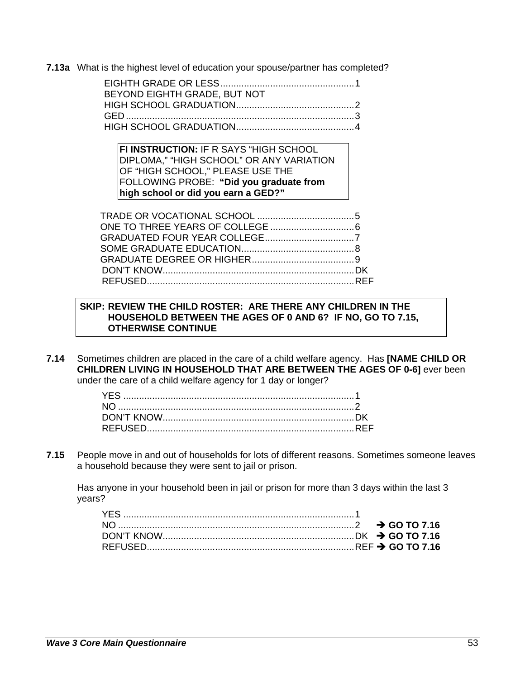**7.13a** What is the highest level of education your spouse/partner has completed?

| BEYOND EIGHTH GRADE, BUT NOT |  |
|------------------------------|--|
|                              |  |
|                              |  |
|                              |  |

**FI INSTRUCTION:** IF R SAYS "HIGH SCHOOL DIPLOMA," "HIGH SCHOOL" OR ANY VARIATION OF "HIGH SCHOOL," PLEASE USE THE FOLLOWING PROBE: **"Did you graduate from high school or did you earn a GED?"** 

#### **SKIP: REVIEW THE CHILD ROSTER: ARE THERE ANY CHILDREN IN THE HOUSEHOLD BETWEEN THE AGES OF 0 AND 6? IF NO, GO TO 7.15, OTHERWISE CONTINUE**

**7.14** Sometimes children are placed in the care of a child welfare agency. Has **[NAME CHILD OR CHILDREN LIVING IN HOUSEHOLD THAT ARE BETWEEN THE AGES OF 0-6]** ever been under the care of a child welfare agency for 1 day or longer?

**7.15** People move in and out of households for lots of different reasons. Sometimes someone leaves a household because they were sent to jail or prison.

Has anyone in your household been in jail or prison for more than 3 days within the last 3 years?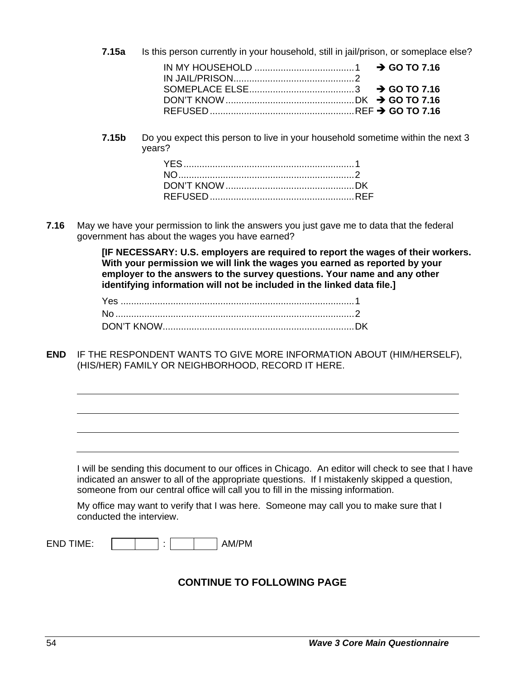$7.15a$ Is this person currently in your household, still in jail/prison, or someplace else?  $\rightarrow$  GO TO 7.16

 $7.15<sub>b</sub>$ Do you expect this person to live in your household sometime within the next 3 vears?

 $7.16$ May we have your permission to link the answers you just gave me to data that the federal government has about the wages you have earned?

> [IF NECESSARY: U.S. employers are required to report the wages of their workers. With your permission we will link the wages you earned as reported by your employer to the answers to the survey questions. Your name and any other identifying information will not be included in the linked data file.1

**END** IF THE RESPONDENT WANTS TO GIVE MORE INFORMATION ABOUT (HIM/HERSELF). (HIS/HER) FAMILY OR NEIGHBORHOOD, RECORD IT HERE.

I will be sending this document to our offices in Chicago. An editor will check to see that I have indicated an answer to all of the appropriate questions. If I mistakenly skipped a question, someone from our central office will call you to fill in the missing information.

My office may want to verify that I was here. Someone may call you to make sure that I conducted the interview.

**END TIME:** 

÷ AM/PM

### **CONTINUE TO FOLLOWING PAGE**